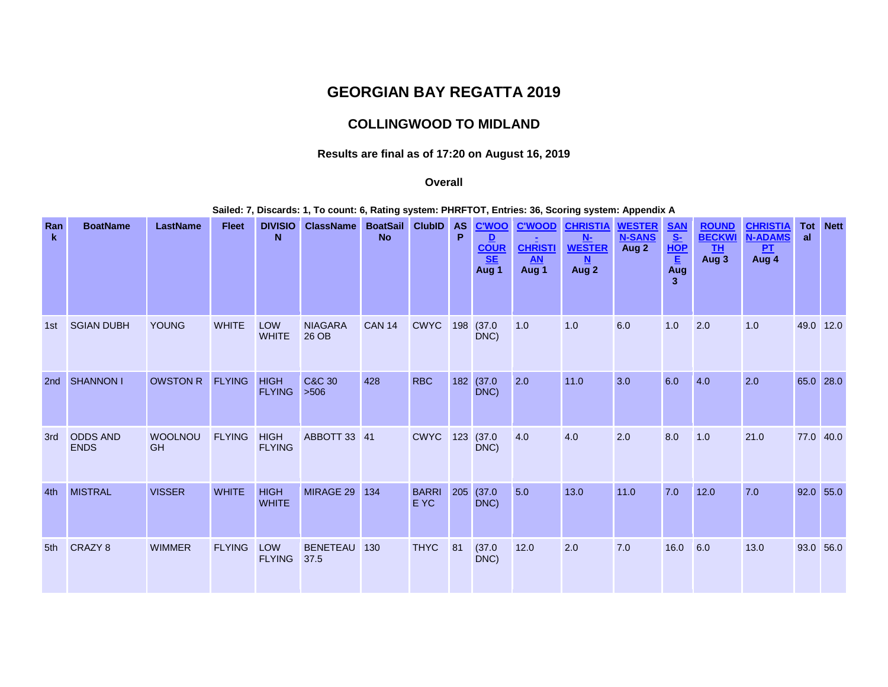# **GEORGIAN BAY REGATTA 2019**

# **COLLINGWOOD TO MIDLAND**

### **Results are final as of 17:20 on August 16, 2019**

#### **Overall**

**Sailed: 7, Discards: 1, To count: 6, Rating system: PHRFTOT, Entries: 36, Scoring system: Appendix A**

| Ran<br>k.       | <b>BoatName</b>                | <b>LastName</b>             | <b>Fleet</b>  | <b>DIVISIO</b><br>N          | <b>ClassName</b>          | <b>BoatSail</b><br><b>No</b> | <b>ClubID</b>        | <b>AS</b><br>P | <b>C'WOO</b><br>D<br><u>COUR</u><br>Aug 1 | <b>C'WOOD</b><br><b>CHRISTI</b><br><b>AN</b><br>Aug 1 | <b>CHRISTIA</b><br>$N-$<br><b>WESTER</b><br>N<br>Aug 2 | <b>WESTER</b><br><b>N-SANS</b><br>Aug 2 | <u>SAN<br/>S-</u><br>HOP<br>$\overline{\mathbf{E}}$<br>Aug<br>3 | <b>ROUND</b><br><b>BECKW</b><br><b>TH</b><br>Aug 3 | <b>CHRISTIA</b><br><b>N-ADAMS</b><br>PL<br>Aug 4 | Tot<br>al | <b>Nett</b> |
|-----------------|--------------------------------|-----------------------------|---------------|------------------------------|---------------------------|------------------------------|----------------------|----------------|-------------------------------------------|-------------------------------------------------------|--------------------------------------------------------|-----------------------------------------|-----------------------------------------------------------------|----------------------------------------------------|--------------------------------------------------|-----------|-------------|
| 1st             | <b>SGIAN DUBH</b>              | <b>YOUNG</b>                | <b>WHITE</b>  | <b>LOW</b><br><b>WHITE</b>   | <b>NIAGARA</b><br>26 OB   | <b>CAN 14</b>                | <b>CWYC</b>          | 198            | (37.0)<br>DNC)                            | 1.0                                                   | 1.0                                                    | 6.0                                     | 1.0                                                             | 2.0                                                | 1.0                                              |           | 49.0 12.0   |
| 2 <sub>nd</sub> | <b>SHANNON I</b>               | <b>OWSTON R</b>             | <b>FLYING</b> | <b>HIGH</b><br><b>FLYING</b> | <b>C&amp;C 30</b><br>>506 | 428                          | <b>RBC</b>           | 182            | (37.0)<br>DNC)                            | 2.0                                                   | $11.0$                                                 | 3.0                                     | 6.0                                                             | 4.0                                                | 2.0                                              |           | 65.0 28.0   |
| 3rd             | <b>ODDS AND</b><br><b>ENDS</b> | <b>WOOLNOU</b><br><b>GH</b> | <b>FLYING</b> | <b>HIGH</b><br><b>FLYING</b> | ABBOTT 33 41              |                              | <b>CWYC</b>          | 123            | (37.0)<br>DNC)                            | 4.0                                                   | 4.0                                                    | 2.0                                     | 8.0                                                             | 1.0                                                | 21.0                                             | 77.0 40.0 |             |
| 4th             | <b>MISTRAL</b>                 | <b>VISSER</b>               | <b>WHITE</b>  | <b>HIGH</b><br><b>WHITE</b>  | MIRAGE 29                 | 134                          | <b>BARRI</b><br>E YC | 205            | (37.0)<br>DNC)                            | 5.0                                                   | 13.0                                                   | 11.0                                    | 7.0                                                             | $12.0$                                             | 7.0                                              |           | $92.0$ 55.0 |
| 5th             | CRAZY 8                        | <b>WIMMER</b>               | <b>FLYING</b> | LOW<br><b>FLYING</b>         | <b>BENETEAU</b><br>37.5   | 130                          | <b>THYC</b>          | 81             | (37.0)<br>DNC)                            | 12.0                                                  | 2.0                                                    | 7.0                                     | 16.0                                                            | 6.0                                                | 13.0                                             |           | 93.0 56.0   |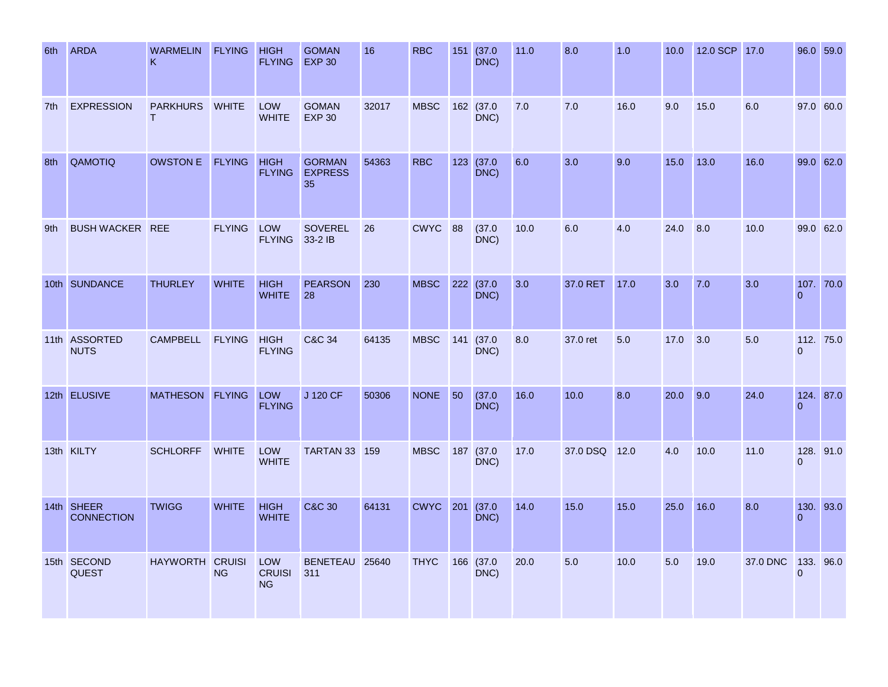| 6th | <b>ARDA</b>                     | WARMELIN FLYING<br>K            |               | <b>HIGH</b><br><b>FLYING</b>      | <b>GOMAN</b><br><b>EXP 30</b>         | 16    | <b>RBC</b>      |             | 151 (37.0<br>DNC) | 11.0 | 8.0      | 1.0  | 10.0 | 12.0 SCP 17.0 |          |                           | 96.0 59.0 |
|-----|---------------------------------|---------------------------------|---------------|-----------------------------------|---------------------------------------|-------|-----------------|-------------|-------------------|------|----------|------|------|---------------|----------|---------------------------|-----------|
| 7th | <b>EXPRESSION</b>               | <b>PARKHURS</b><br>$\mathsf{T}$ | <b>WHITE</b>  | <b>LOW</b><br><b>WHITE</b>        | <b>GOMAN</b><br><b>EXP 30</b>         | 32017 | <b>MBSC</b>     |             | 162 (37.0<br>DNC) | 7.0  | 7.0      | 16.0 | 9.0  | 15.0          | 6.0      |                           | 97.0 60.0 |
| 8th | QAMOTIQ                         | OWSTON E FLYING HIGH            |               | <b>FLYING</b>                     | <b>GORMAN</b><br><b>EXPRESS</b><br>35 | 54363 | <b>RBC</b>      |             | 123 (37.0<br>DNC) | 6.0  | 3.0      | 9.0  | 15.0 | 13.0          | 16.0     |                           | 99.0 62.0 |
| 9th | <b>BUSH WACKER REE</b>          |                                 | FLYING LOW    | <b>FLYING</b>                     | SOVEREL<br>33-2 IB                    | 26    | CWYC 88         |             | (37.0)<br>DNC)    | 10.0 | 6.0      | 4.0  | 24.0 | 8.0           | 10.0     |                           | 99.0 62.0 |
|     | 10th SUNDANCE                   | <b>THURLEY</b>                  | <b>WHITE</b>  | <b>HIGH</b><br><b>WHITE</b>       | <b>PEARSON</b><br>28                  | 230   | <b>MBSC</b>     |             | 222 (37.0<br>DNC) | 3.0  | 37.0 RET | 17.0 | 3.0  | 7.0           | 3.0      | $\Omega$                  | 107. 70.0 |
|     | 11th ASSORTED<br><b>NUTS</b>    | <b>CAMPBELL</b>                 | <b>FLYING</b> | <b>HIGH</b><br><b>FLYING</b>      | <b>C&amp;C 34</b>                     | 64135 | <b>MBSC</b>     |             | 141 (37.0<br>DNC) | 8.0  | 37.0 ret | 5.0  | 17.0 | 3.0           | 5.0      | $\overline{0}$            | 112, 75.0 |
|     | 12th ELUSIVE                    | MATHESON FLYING                 |               | LOW<br><b>FLYING</b>              | J 120 CF                              | 50306 | <b>NONE</b>     | $\sqrt{50}$ | (37.0)<br>DNC)    | 16.0 | 10.0     | 8.0  | 20.0 | 9.0           | 24.0     | $\Omega$                  | 124. 87.0 |
|     | 13th KILTY                      | <b>SCHLORFF</b>                 | <b>WHITE</b>  | LOW<br><b>WHITE</b>               | <b>TARTAN 33 159</b>                  |       | <b>MBSC</b>     |             | 187 (37.0<br>DNC) | 17.0 | 37.0 DSQ | 12.0 | 4.0  | 10.0          | 11.0     | $\Omega$                  | 128. 91.0 |
|     | 14th SHEER<br><b>CONNECTION</b> | <b>TWIGG</b>                    | <b>WHITE</b>  | <b>HIGH</b><br><b>WHITE</b>       | <b>C&amp;C 30</b>                     | 64131 | <b>CWYC</b> 201 |             | (37.0)<br>DNC)    | 14.0 | 15.0     | 15.0 | 25.0 | 16.0          | 8.0      | $\Omega$                  | 130. 93.0 |
|     | 15th SECOND<br><b>QUEST</b>     | HAYWORTH CRUISI                 | <b>NG</b>     | LOW<br><b>CRUISI</b><br><b>NG</b> | BENETEAU 25640<br>311                 |       | <b>THYC</b>     |             | 166 (37.0<br>DNC) | 20.0 | 5.0      | 10.0 | 5.0  | 19.0          | 37.0 DNC | 133. 96.0<br>$\mathbf{0}$ |           |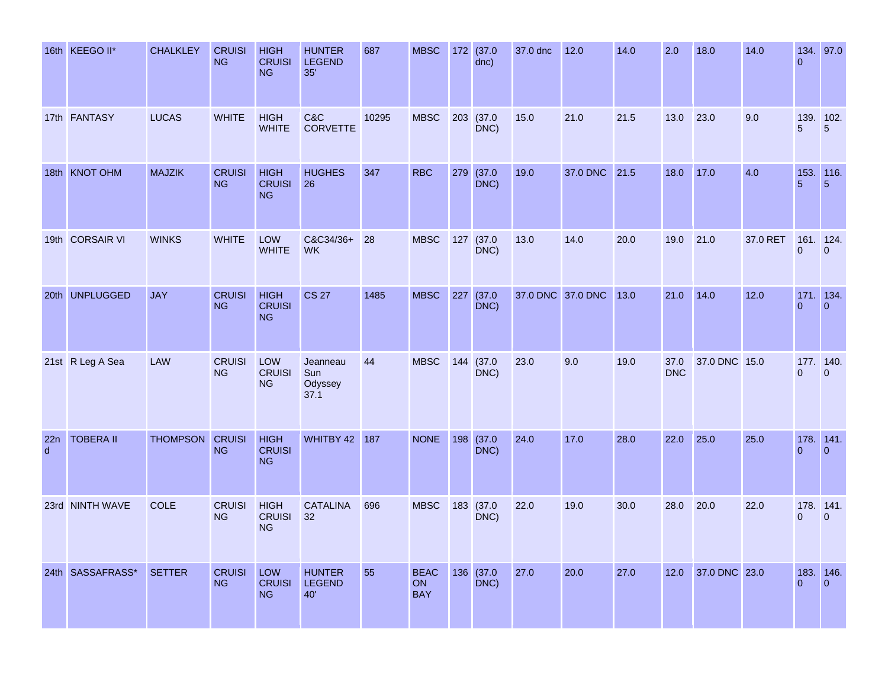|                     | 16th KEEGO II*   | <b>CHALKLEY</b> | <b>CRUISI</b><br><b>NG</b> | <b>HIGH</b><br><b>CRUISI</b><br><b>NG</b> | <b>HUNTER</b><br><b>LEGEND</b><br>35' | 687   | <b>MBSC</b>                     |     | 172 (37.0<br>dnc) | 37.0 dnc | 12.0              | 14.0 | 2.0                | 18.0          | 14.0     | $\Omega$     | 134. 97.0                                             |
|---------------------|------------------|-----------------|----------------------------|-------------------------------------------|---------------------------------------|-------|---------------------------------|-----|-------------------|----------|-------------------|------|--------------------|---------------|----------|--------------|-------------------------------------------------------|
|                     | 17th FANTASY     | <b>LUCAS</b>    | <b>WHITE</b>               | <b>HIGH</b><br><b>WHITE</b>               | C&C<br><b>CORVETTE</b>                | 10295 | <b>MBSC</b>                     |     | 203 (37.0<br>DNC) | 15.0     | 21.0              | 21.5 | 13.0               | 23.0          | 9.0      | 5            | 139. 102.<br>$5\phantom{.}$                           |
|                     | 18th KNOT OHM    | <b>MAJZIK</b>   | <b>CRUISI</b><br>NG        | <b>HIGH</b><br><b>CRUISI</b><br><b>NG</b> | <b>HUGHES</b><br>26                   | 347   | <b>RBC</b>                      | 279 | (37.0)<br>DNC)    | 19.0     | 37.0 DNC          | 21.5 | 18.0               | 17.0          | 4.0      |              | $\begin{array}{c c} 153. & 116. \\ 5 & 5 \end{array}$ |
|                     | 19th CORSAIR VI  | <b>WINKS</b>    | <b>WHITE</b>               | LOW<br><b>WHITE</b>                       | C&C34/36+ 28<br><b>WK</b>             |       | <b>MBSC</b>                     |     | 127 (37.0<br>DNC) | 13.0     | 14.0              | 20.0 | 19.0               | 21.0          | 37.0 RET | $\Omega$     | 161. 124.<br>$\overline{0}$                           |
|                     | 20th UNPLUGGED   | <b>JAY</b>      | <b>CRUISI</b><br><b>NG</b> | <b>HIGH</b><br><b>CRUISI</b><br><b>NG</b> | <b>CS 27</b>                          | 1485  | <b>MBSC</b>                     | 227 | (37.0)<br>DNC)    |          | 37.0 DNC 37.0 DNC | 13.0 | 21.0               | 14.0          | 12.0     | $\Omega$     | 171. 134.<br>$\overline{0}$                           |
|                     | 21st R Leg A Sea | LAW             | <b>CRUISI</b><br><b>NG</b> | LOW<br><b>CRUISI</b><br><b>NG</b>         | Jeanneau<br>Sun<br>Odyssey<br>37.1    | 44    | <b>MBSC</b>                     | 144 | (37.0)<br>DNC)    | 23.0     | 9.0               | 19.0 | 37.0<br><b>DNC</b> | 37.0 DNC 15.0 |          | $\mathbf{0}$ | 177. 140.<br>$\overline{0}$                           |
| 22n<br>$\mathsf{d}$ | <b>TOBERA II</b> | THOMPSON CRUISI | <b>NG</b>                  | <b>HIGH</b><br><b>CRUISI</b><br><b>NG</b> | <b>WHITBY 42 187</b>                  |       | <b>NONE</b>                     | 198 | (37.0)<br>DNC)    | 24.0     | 17.0              | 28.0 | 22.0               | 25.0          | 25.0     | $\mathbf{0}$ | 178. 141.<br>$\overline{0}$                           |
|                     | 23rd NINTH WAVE  | <b>COLE</b>     | <b>CRUISI</b><br><b>NG</b> | <b>HIGH</b><br><b>CRUISI</b><br><b>NG</b> | <b>CATALINA</b><br>32                 | 696   | <b>MBSC</b>                     |     | 183 (37.0<br>DNC) | 22.0     | 19.0              | 30.0 | 28.0               | 20.0          | 22.0     | $\Omega$     | 178. 141.<br>$\overline{0}$                           |
|                     | 24th SASSAFRASS* | <b>SETTER</b>   | <b>CRUISI</b><br><b>NG</b> | LOW<br><b>CRUISI</b><br><b>NG</b>         | <b>HUNTER</b><br><b>LEGEND</b><br>40' | 55    | <b>BEAC</b><br>ON<br><b>BAY</b> |     | 136 (37.0<br>DNC) | 27.0     | 20.0              | 27.0 | 12.0               | 37.0 DNC 23.0 |          | $\Omega$     | 183. 146.<br>$\overline{0}$                           |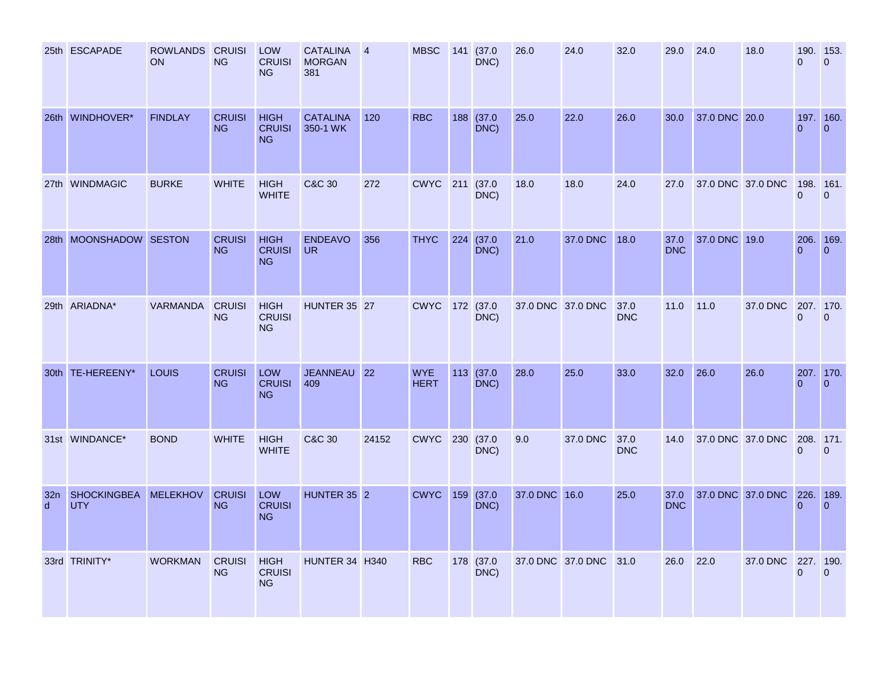|                                 | 25th ESCAPADE                    | ROWLANDS CRUISI<br><b>ON</b> | <b>NG</b>                  | <b>LOW</b><br><b>CRUISI</b><br><b>NG</b>  | CATALINA<br><b>MORGAN</b><br>381 | $\overline{4}$ | <b>MBSC</b>               | 141 | (37.0)<br>DNC)     | 26.0          | 24.0                   | 32.0               | 29.0               | 24.0              | 18.0                        | 190. 153.<br>$\Omega$     | $\Omega$                    |
|---------------------------------|----------------------------------|------------------------------|----------------------------|-------------------------------------------|----------------------------------|----------------|---------------------------|-----|--------------------|---------------|------------------------|--------------------|--------------------|-------------------|-----------------------------|---------------------------|-----------------------------|
|                                 | 26th WINDHOVER*                  | <b>FINDLAY</b>               | <b>CRUISI</b><br><b>NG</b> | <b>HIGH</b><br><b>CRUISI</b><br><b>NG</b> | <b>CATALINA</b><br>350-1 WK      | 120            | <b>RBC</b>                | 188 | (37.0)<br>DNC)     | 25.0          | 22.0                   | 26.0               | 30.0               | 37.0 DNC 20.0     |                             | 197. 160.<br>$\Omega$     | $\overline{0}$              |
|                                 | 27th WINDMAGIC                   | <b>BURKE</b>                 | <b>WHITE</b>               | <b>HIGH</b><br><b>WHITE</b>               | <b>C&amp;C 30</b>                | 272            | <b>CWYC</b> 211           |     | (37.0)<br>DNC)     | 18.0          | 18.0                   | 24.0               | 27.0               | 37.0 DNC 37.0 DNC |                             | $\Omega$                  | 198. 161.<br>$\overline{0}$ |
|                                 | 28th MOONSHADOW SESTON           |                              | <b>CRUISI</b><br><b>NG</b> | <b>HIGH</b><br><b>CRUISI</b><br><b>NG</b> | <b>ENDEAVO</b><br><b>UR</b>      | 356            | <b>THYC</b>               | 224 | (37.0)<br>DNC)     | 21.0          | 37.0 DNC               | 18.0               | 37.0<br><b>DNC</b> | 37.0 DNC 19.0     |                             | 206. 169.<br>$\Omega$     | $\Omega$                    |
|                                 | 29th ARIADNA*                    | VARMANDA                     | <b>CRUISI</b><br><b>NG</b> | <b>HIGH</b><br><b>CRUISI</b><br><b>NG</b> | <b>HUNTER 35 27</b>              |                | CWYC 172 (37.0            |     | DNC)               |               | 37.0 DNC 37.0 DNC      | 37.0<br><b>DNC</b> | 11.0               | 11.0              | 37.0 DNC                    | 207. 170.<br>$\mathbf{0}$ | $\overline{0}$              |
|                                 | 30th TE-HEREENY*                 | <b>LOUIS</b>                 | <b>CRUISI</b><br><b>NG</b> | <b>LOW</b><br><b>CRUISI</b><br><b>NG</b>  | JEANNEAU 22<br>409               |                | <b>WYE</b><br><b>HERT</b> |     | 113 (37.0)<br>DNC) | 28.0          | 25.0                   | 33.0               | 32.0               | 26.0              | 26.0                        | $\Omega$                  | 207. 170.<br>$\Omega$       |
|                                 | 31st WINDANCE*                   | <b>BOND</b>                  | <b>WHITE</b>               | <b>HIGH</b><br><b>WHITE</b>               | C&C 30                           | 24152          | <b>CWYC</b> 230           |     | (37.0)<br>DNC)     | 9.0           | 37.0 DNC               | 37.0<br><b>DNC</b> | 14.0               | 37.0 DNC 37.0 DNC |                             | 208. 171.<br>$\Omega$     | $\Omega$                    |
| 32 <sub>n</sub><br>$\mathsf{d}$ | <b>SHOCKINGBEA</b><br><b>UTY</b> | <b>MELEKHOV</b>              | <b>CRUISI</b><br><b>NG</b> | LOW<br><b>CRUISI</b><br><b>NG</b>         | HUNTER 35 2                      |                | <b>CWYC</b>               | 159 | (37.0)<br>DNC)     | 37.0 DNC 16.0 |                        | 25.0               | 37.0<br><b>DNC</b> |                   | 37.0 DNC 37.0 DNC 226. 189. | $\Omega$                  | $\Omega$                    |
|                                 | 33rd TRINITY*                    | <b>WORKMAN</b>               | <b>CRUISI</b><br><b>NG</b> | <b>HIGH</b><br><b>CRUISI</b><br><b>NG</b> | HUNTER 34 H340                   |                | <b>RBC</b>                |     | 178 (37.0<br>DNC)  |               | 37.0 DNC 37.0 DNC 31.0 |                    | 26.0               | 22.0              | 37.0 DNC 227. 190.          | $\mathbf{0}$              | $\mathbf{0}$                |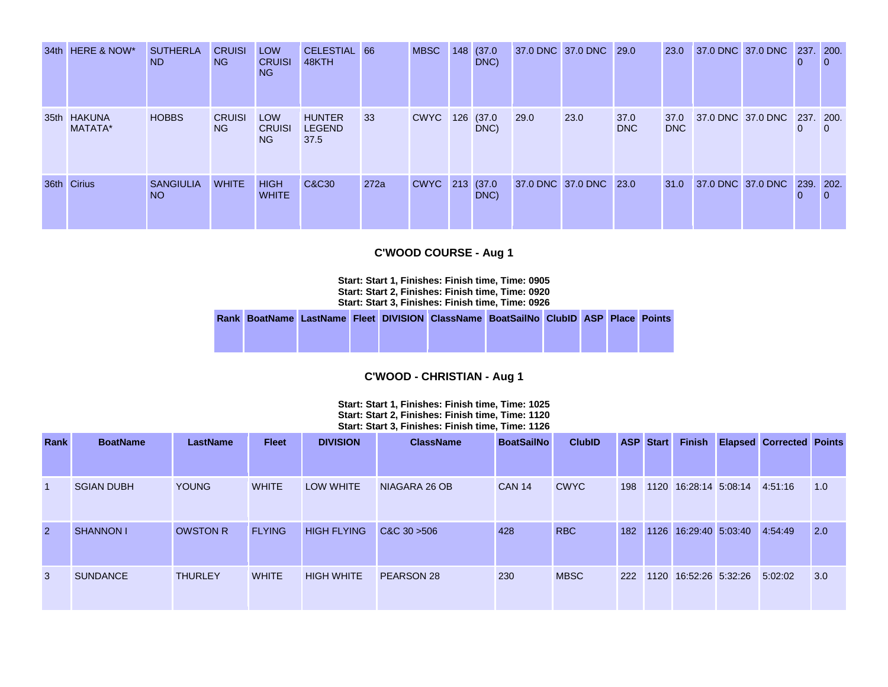|      | 34th HERE & NOW*       | <b>SUTHERLA</b><br>ND.              | <b>CRUISI</b><br>NG. | <b>LOW</b><br><b>CRUISI</b><br>NG. | CELESTIAL 66<br>48KTH                  |      | <b>MBSC</b>     | 148 (37.0)<br>DNC) |      | 37.0 DNC 37.0 DNC 29.0 |                    | <b>23.0</b>        | 37.0 DNC 37.0 DNC 237. 200.             | O |  |
|------|------------------------|-------------------------------------|----------------------|------------------------------------|----------------------------------------|------|-----------------|--------------------|------|------------------------|--------------------|--------------------|-----------------------------------------|---|--|
|      | 35th HAKUNA<br>MATATA* | <b>HOBBS</b>                        | <b>CRUISI</b><br>NG. | <b>LOW</b><br><b>CRUISI</b><br>NG. | <b>HUNTER</b><br><b>LEGEND</b><br>37.5 | 33   | <b>CWYC</b> 126 | (37.0)<br>DNC)     | 29.0 | 23.0                   | 37.0<br><b>DNC</b> | 37.0<br><b>DNC</b> | 37.0 DNC 37.0 DNC 237, 200.             | 0 |  |
| 36th | <b>Cirius</b>          | <b>SANGIULIA</b><br>NO <sub>1</sub> | <b>WHITE</b>         | <b>HIGH</b><br><b>WHITE</b>        | C&C30                                  | 272a | CWYC 213 (37.0  | DNC)               |      | 37.0 DNC 37.0 DNC 23.0 |                    | 31.0               | $\parallel$ 37.0 DNC 37.0 DNC 239, 202. |   |  |

### **C'WOOD COURSE - Aug 1**

**Start: Start 1, Finishes: Finish time, Time: 0905 Start: Start 2, Finishes: Finish time, Time: 0920 Start: Start 3, Finishes: Finish time, Time: 0926** 

|  |  | Rank BoatName LastName Fleet DIVISION ClassName BoatSailNo ClubID ASP Place Points |  |  |  |
|--|--|------------------------------------------------------------------------------------|--|--|--|
|  |  |                                                                                    |  |  |  |
|  |  |                                                                                    |  |  |  |

#### **C'WOOD - CHRISTIAN - Aug 1**

**Start: Start 1, Finishes: Finish time, Time: 1025 Start: Start 2, Finishes: Finish time, Time: 1120 Start: Start 3, Finishes: Finish time, Time: 1126** 

| <b>Rank</b>          | <b>BoatName</b>   | <b>LastName</b> | <b>Fleet</b>  | <b>DIVISION</b>    | <b>ClassName</b> | <b>BoatSailNo</b> | <b>ClubID</b> | <b>ASP</b> | <b>Start</b> | <b>Finish</b>         | <b>Elapsed Corrected Points</b> |     |
|----------------------|-------------------|-----------------|---------------|--------------------|------------------|-------------------|---------------|------------|--------------|-----------------------|---------------------------------|-----|
|                      |                   |                 |               |                    |                  |                   |               |            |              |                       |                                 |     |
| $\blacktriangleleft$ | <b>SGIAN DUBH</b> | <b>YOUNG</b>    | <b>WHITE</b>  | <b>LOW WHITE</b>   | NIAGARA 26 OB    | <b>CAN 14</b>     | <b>CWYC</b>   | 198        |              | 1120 16:28:14 5:08:14 | 4:51:16                         | 1.0 |
| $\overline{2}$       | <b>SHANNON I</b>  | <b>OWSTON R</b> | <b>FLYING</b> | <b>HIGH FLYING</b> | CAC30 > 506      | 428               | <b>RBC</b>    | 182        |              | 1126 16:29:40 5:03:40 | 4:54:49                         | 2.0 |
| 3                    | <b>SUNDANCE</b>   | <b>THURLEY</b>  | <b>WHITE</b>  | <b>HIGH WHITE</b>  | PEARSON 28       | 230               | <b>MBSC</b>   | 222        |              | 1120 16:52:26 5:32:26 | 5:02:02                         | 3.0 |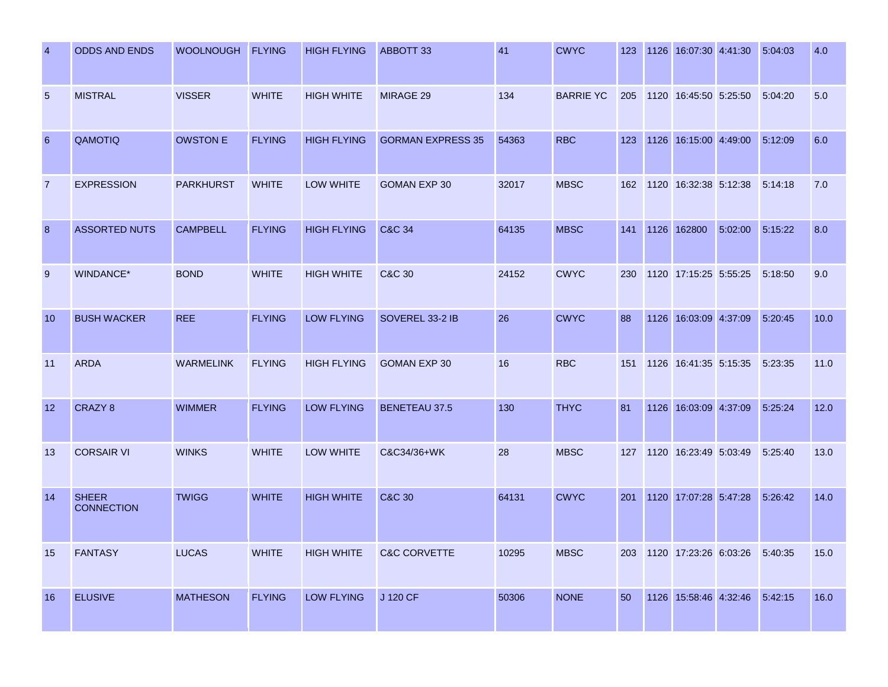| $\overline{4}$ | <b>ODDS AND ENDS</b>              | WOOLNOUGH FLYING |               | <b>HIGH FLYING</b> | ABBOTT 33                | 41    | <b>CWYC</b>      | 123 | 1126 16:07:30 4:41:30             |         | 5:04:03 | 4.0  |
|----------------|-----------------------------------|------------------|---------------|--------------------|--------------------------|-------|------------------|-----|-----------------------------------|---------|---------|------|
| 5              | <b>MISTRAL</b>                    | <b>VISSER</b>    | <b>WHITE</b>  | <b>HIGH WHITE</b>  | <b>MIRAGE 29</b>         | 134   | <b>BARRIE YC</b> | 205 | 1120 16:45:50 5:25:50             |         | 5:04:20 | 5.0  |
| 6              | QAMOTIQ                           | <b>OWSTON E</b>  | <b>FLYING</b> | <b>HIGH FLYING</b> | <b>GORMAN EXPRESS 35</b> | 54363 | <b>RBC</b>       | 123 | 1126 16:15:00 4:49:00             |         | 5:12:09 | 6.0  |
| $\overline{7}$ | <b>EXPRESSION</b>                 | <b>PARKHURST</b> | <b>WHITE</b>  | LOW WHITE          | <b>GOMAN EXP 30</b>      | 32017 | <b>MBSC</b>      | 162 | 1120 16:32:38 5:12:38             |         | 5:14:18 | 7.0  |
| 8              | <b>ASSORTED NUTS</b>              | <b>CAMPBELL</b>  | <b>FLYING</b> | <b>HIGH FLYING</b> | <b>C&amp;C 34</b>        | 64135 | <b>MBSC</b>      | 141 | 1126 162800                       | 5:02:00 | 5:15:22 | 8.0  |
| 9              | WINDANCE*                         | <b>BOND</b>      | <b>WHITE</b>  | <b>HIGH WHITE</b>  | C&C 30                   | 24152 | <b>CWYC</b>      | 230 | 1120 17:15:25 5:55:25             |         | 5:18:50 | 9.0  |
| 10             | <b>BUSH WACKER</b>                | <b>REE</b>       | <b>FLYING</b> | <b>LOW FLYING</b>  | SOVEREL 33-2 IB          | 26    | <b>CWYC</b>      | 88  | 1126 16:03:09 4:37:09             |         | 5:20:45 | 10.0 |
| 11             | <b>ARDA</b>                       | <b>WARMELINK</b> | <b>FLYING</b> | <b>HIGH FLYING</b> | <b>GOMAN EXP 30</b>      | 16    | <b>RBC</b>       |     | 151 1126 16:41:35 5:15:35         |         | 5:23:35 | 11.0 |
| 12             | CRAZY 8                           | <b>WIMMER</b>    | <b>FLYING</b> | <b>LOW FLYING</b>  | <b>BENETEAU 37.5</b>     | 130   | <b>THYC</b>      | 81  | 1126 16:03:09 4:37:09             |         | 5:25:24 | 12.0 |
| 13             | <b>CORSAIR VI</b>                 | <b>WINKS</b>     | <b>WHITE</b>  | LOW WHITE          | C&C34/36+WK              | 28    | <b>MBSC</b>      | 127 | 1120 16:23:49 5:03:49             |         | 5:25:40 | 13.0 |
| 14             | <b>SHEER</b><br><b>CONNECTION</b> | <b>TWIGG</b>     | <b>WHITE</b>  | <b>HIGH WHITE</b>  | <b>C&amp;C 30</b>        | 64131 | <b>CWYC</b>      | 201 | 1120 17:07:28 5:47:28             |         | 5:26:42 | 14.0 |
| 15             | <b>FANTASY</b>                    | <b>LUCAS</b>     | <b>WHITE</b>  | <b>HIGH WHITE</b>  | <b>C&amp;C CORVETTE</b>  | 10295 | <b>MBSC</b>      |     | 203 1120 17:23:26 6:03:26 5:40:35 |         |         | 15.0 |
| 16             | <b>ELUSIVE</b>                    | <b>MATHESON</b>  | <b>FLYING</b> | <b>LOW FLYING</b>  | J 120 CF                 | 50306 | <b>NONE</b>      | 50  | 1126 15:58:46 4:32:46 5:42:15     |         |         | 16.0 |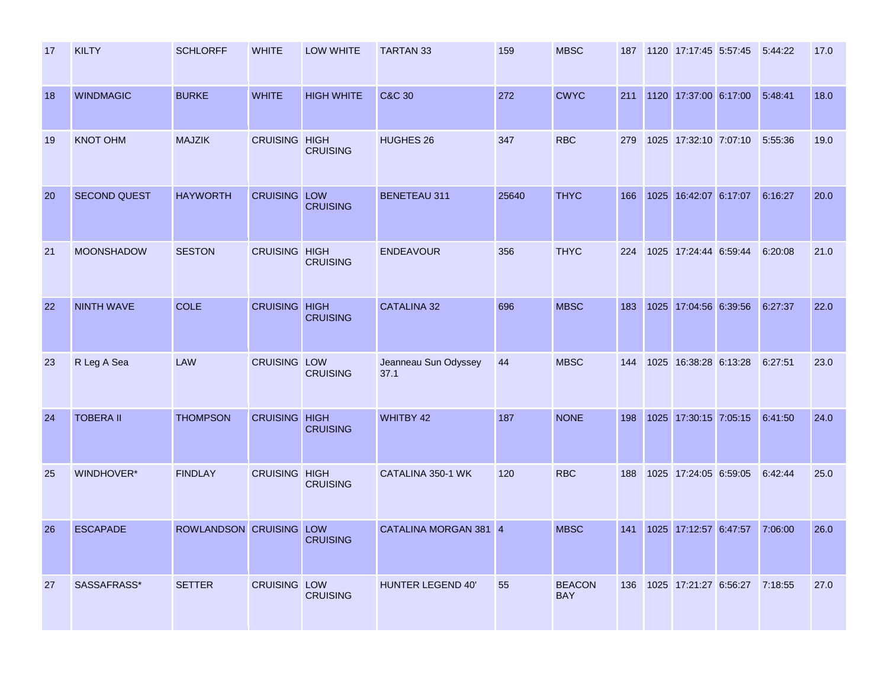| 17 | <b>KILTY</b>        | <b>SCHLORFF</b>         | <b>WHITE</b>         | <b>LOW WHITE</b>  | <b>TARTAN 33</b>             | 159   | <b>MBSC</b>                 | 187 | 1120 17:17:45 5:57:45 5:44:22 |         | 17.0 |
|----|---------------------|-------------------------|----------------------|-------------------|------------------------------|-------|-----------------------------|-----|-------------------------------|---------|------|
| 18 | <b>WINDMAGIC</b>    | <b>BURKE</b>            | <b>WHITE</b>         | <b>HIGH WHITE</b> | <b>C&amp;C 30</b>            | 272   | <b>CWYC</b>                 | 211 | 1120 17:37:00 6:17:00         | 5:48:41 | 18.0 |
| 19 | <b>KNOT OHM</b>     | <b>MAJZIK</b>           | <b>CRUISING HIGH</b> | <b>CRUISING</b>   | HUGHES 26                    | 347   | <b>RBC</b>                  | 279 | 1025 17:32:10 7:07:10         | 5:55:36 | 19.0 |
| 20 | <b>SECOND QUEST</b> | <b>HAYWORTH</b>         | <b>CRUISING LOW</b>  | <b>CRUISING</b>   | <b>BENETEAU 311</b>          | 25640 | <b>THYC</b>                 | 166 | 1025 16:42:07 6:17:07         | 6:16:27 | 20.0 |
| 21 | <b>MOONSHADOW</b>   | <b>SESTON</b>           | CRUISING HIGH        | <b>CRUISING</b>   | <b>ENDEAVOUR</b>             | 356   | <b>THYC</b>                 | 224 | 1025 17:24:44 6:59:44         | 6:20:08 | 21.0 |
| 22 | <b>NINTH WAVE</b>   | COLE                    | <b>CRUISING HIGH</b> | <b>CRUISING</b>   | <b>CATALINA 32</b>           | 696   | <b>MBSC</b>                 | 183 | 1025 17:04:56 6:39:56         | 6:27:37 | 22.0 |
| 23 | R Leg A Sea         | LAW                     | <b>CRUISING LOW</b>  | <b>CRUISING</b>   | Jeanneau Sun Odyssey<br>37.1 | 44    | <b>MBSC</b>                 | 144 | 1025 16:38:28 6:13:28         | 6:27:51 | 23.0 |
| 24 | <b>TOBERA II</b>    | <b>THOMPSON</b>         | <b>CRUISING HIGH</b> | <b>CRUISING</b>   | WHITBY 42                    | 187   | <b>NONE</b>                 | 198 | 1025 17:30:15 7:05:15         | 6:41:50 | 24.0 |
| 25 | WINDHOVER*          | <b>FINDLAY</b>          | CRUISING HIGH        | <b>CRUISING</b>   | CATALINA 350-1 WK            | 120   | <b>RBC</b>                  | 188 | 1025 17:24:05 6:59:05         | 6:42:44 | 25.0 |
| 26 | <b>ESCAPADE</b>     | ROWLANDSON CRUISING LOW |                      | <b>CRUISING</b>   | CATALINA MORGAN 381 4        |       | <b>MBSC</b>                 | 141 | 1025 17:12:57 6:47:57         | 7:06:00 | 26.0 |
| 27 | SASSAFRASS*         | <b>SETTER</b>           | CRUISING LOW         | <b>CRUISING</b>   | HUNTER LEGEND 40'            | 55    | <b>BEACON</b><br><b>BAY</b> | 136 | 1025 17:21:27 6:56:27         | 7:18:55 | 27.0 |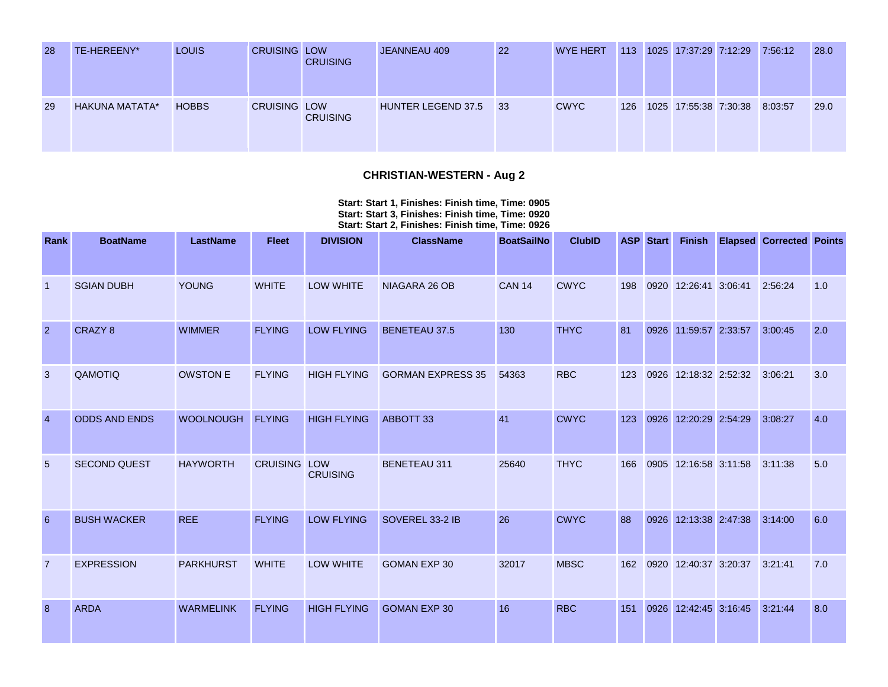| 28 | TE-HEREENY*           | <b>LOUIS</b> | <b>CRUISING LOW</b> | <b>CRUISING</b> | JEANNEAU 409       | 22 | <b>WYE HERT</b> | 113 | 1025 17:37:29 7:12:29 | 7:56:12 | 28.0 |
|----|-----------------------|--------------|---------------------|-----------------|--------------------|----|-----------------|-----|-----------------------|---------|------|
| 29 | <b>HAKUNA MATATA*</b> | <b>HOBBS</b> | <b>CRUISING LOW</b> | <b>CRUISING</b> | HUNTER LEGEND 37.5 | 33 | <b>CWYC</b>     | 126 | 1025 17:55:38 7:30:38 | 8:03:57 | 29.0 |

### **CHRISTIAN-WESTERN - Aug 2**

**Start: Start 1, Finishes: Finish time, Time: 0905 Start: Start 3, Finishes: Finish time, Time: 0920 Start: Start 2, Finishes: Finish time, Time: 0926** 

| Rank           | <b>BoatName</b>      | <b>LastName</b>  | <b>Fleet</b>  | <b>DIVISION</b>    | <b>ClassName</b>         | <b>BoatSailNo</b> | <b>ClubID</b> |     | <b>ASP</b> Start | <b>Finish</b>         | <b>Elapsed Corrected Points</b> |     |
|----------------|----------------------|------------------|---------------|--------------------|--------------------------|-------------------|---------------|-----|------------------|-----------------------|---------------------------------|-----|
| -1             | <b>SGIAN DUBH</b>    | <b>YOUNG</b>     | <b>WHITE</b>  | <b>LOW WHITE</b>   | NIAGARA 26 OB            | <b>CAN 14</b>     | <b>CWYC</b>   | 198 |                  | 0920 12:26:41 3:06:41 | 2:56:24                         | 1.0 |
| $\overline{2}$ | CRAZY 8              | <b>WIMMER</b>    | <b>FLYING</b> | <b>LOW FLYING</b>  | <b>BENETEAU 37.5</b>     | 130               | <b>THYC</b>   | 81  |                  | 0926 11:59:57 2:33:57 | 3:00:45                         | 2.0 |
| 3              | QAMOTIQ              | <b>OWSTON E</b>  | <b>FLYING</b> | <b>HIGH FLYING</b> | <b>GORMAN EXPRESS 35</b> | 54363             | <b>RBC</b>    | 123 |                  | 0926 12:18:32 2:52:32 | 3:06:21                         | 3.0 |
| $\overline{4}$ | <b>ODDS AND ENDS</b> | <b>WOOLNOUGH</b> | <b>FLYING</b> | <b>HIGH FLYING</b> | ABBOTT 33                | 41                | <b>CWYC</b>   | 123 |                  | 0926 12:20:29 2:54:29 | 3:08:27                         | 4.0 |
| 5              | <b>SECOND QUEST</b>  | <b>HAYWORTH</b>  | CRUISING LOW  | <b>CRUISING</b>    | <b>BENETEAU 311</b>      | 25640             | <b>THYC</b>   | 166 |                  | 0905 12:16:58 3:11:58 | 3:11:38                         | 5.0 |
| 6              | <b>BUSH WACKER</b>   | <b>REE</b>       | <b>FLYING</b> | <b>LOW FLYING</b>  | SOVEREL 33-2 IB          | 26                | <b>CWYC</b>   | 88  |                  | 0926 12:13:38 2:47:38 | 3:14:00                         | 6.0 |
| $\overline{7}$ | <b>EXPRESSION</b>    | <b>PARKHURST</b> | <b>WHITE</b>  | <b>LOW WHITE</b>   | <b>GOMAN EXP 30</b>      | 32017             | <b>MBSC</b>   | 162 |                  | 0920 12:40:37 3:20:37 | 3:21:41                         | 7.0 |
| 8              | <b>ARDA</b>          | <b>WARMELINK</b> | <b>FLYING</b> | <b>HIGH FLYING</b> | <b>GOMAN EXP 30</b>      | 16                | <b>RBC</b>    | 151 |                  | 0926 12:42:45 3:16:45 | 3:21:44                         | 8.0 |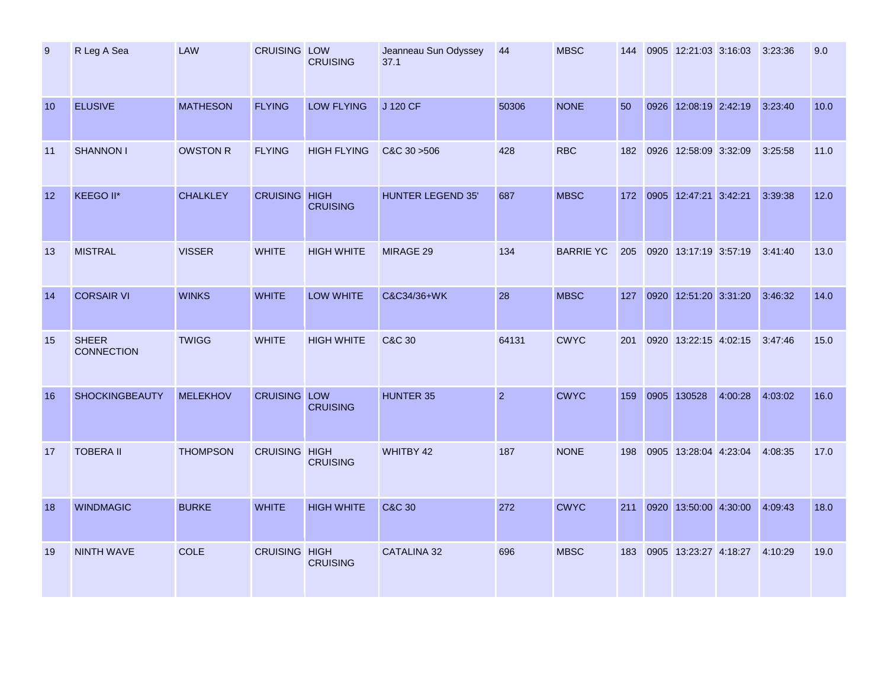| 9  | R Leg A Sea                       | LAW             | <b>CRUISING LOW</b>  | <b>CRUISING</b>    | Jeanneau Sun Odyssey<br>37.1 | 44             | <b>MBSC</b>      | 144 | 0905 12:21:03 3:16:03 3:23:36 |         |         | 9.0  |
|----|-----------------------------------|-----------------|----------------------|--------------------|------------------------------|----------------|------------------|-----|-------------------------------|---------|---------|------|
| 10 | <b>ELUSIVE</b>                    | <b>MATHESON</b> | <b>FLYING</b>        | <b>LOW FLYING</b>  | J 120 CF                     | 50306          | <b>NONE</b>      | 50  | 0926 12:08:19 2:42:19         |         | 3:23:40 | 10.0 |
| 11 | <b>SHANNON I</b>                  | <b>OWSTON R</b> | <b>FLYING</b>        | <b>HIGH FLYING</b> | C&C 30 > 506                 | 428            | <b>RBC</b>       | 182 | 0926 12:58:09 3:32:09         |         | 3:25:58 | 11.0 |
| 12 | KEEGO II*                         | <b>CHALKLEY</b> | <b>CRUISING HIGH</b> | <b>CRUISING</b>    | <b>HUNTER LEGEND 35'</b>     | 687            | <b>MBSC</b>      | 172 | 0905 12:47:21 3:42:21         |         | 3:39:38 | 12.0 |
| 13 | <b>MISTRAL</b>                    | <b>VISSER</b>   | <b>WHITE</b>         | <b>HIGH WHITE</b>  | MIRAGE 29                    | 134            | <b>BARRIE YC</b> |     | 205 0920 13:17:19 3:57:19     |         | 3:41:40 | 13.0 |
| 14 | <b>CORSAIR VI</b>                 | <b>WINKS</b>    | <b>WHITE</b>         | LOW WHITE          | C&C34/36+WK                  | 28             | <b>MBSC</b>      |     | 127 0920 12:51:20 3:31:20     |         | 3:46:32 | 14.0 |
| 15 | <b>SHEER</b><br><b>CONNECTION</b> | <b>TWIGG</b>    | <b>WHITE</b>         | <b>HIGH WHITE</b>  | <b>C&amp;C 30</b>            | 64131          | <b>CWYC</b>      | 201 | 0920 13:22:15 4:02:15         |         | 3:47:46 | 15.0 |
| 16 | <b>SHOCKINGBEAUTY</b>             | <b>MELEKHOV</b> | <b>CRUISING LOW</b>  | <b>CRUISING</b>    | <b>HUNTER 35</b>             | $\overline{2}$ | <b>CWYC</b>      | 159 | 0905 130528                   | 4:00:28 | 4:03:02 | 16.0 |
| 17 | <b>TOBERA II</b>                  | <b>THOMPSON</b> | <b>CRUISING HIGH</b> | <b>CRUISING</b>    | WHITBY 42                    | 187            | <b>NONE</b>      | 198 | 0905 13:28:04 4:23:04         |         | 4:08:35 | 17.0 |
| 18 | <b>WINDMAGIC</b>                  | <b>BURKE</b>    | <b>WHITE</b>         | <b>HIGH WHITE</b>  | <b>C&amp;C 30</b>            | 272            | <b>CWYC</b>      | 211 | 0920 13:50:00 4:30:00         |         | 4:09:43 | 18.0 |
| 19 | <b>NINTH WAVE</b>                 | <b>COLE</b>     | <b>CRUISING HIGH</b> | <b>CRUISING</b>    | <b>CATALINA 32</b>           | 696            | <b>MBSC</b>      | 183 | 0905 13:23:27 4:18:27 4:10:29 |         |         | 19.0 |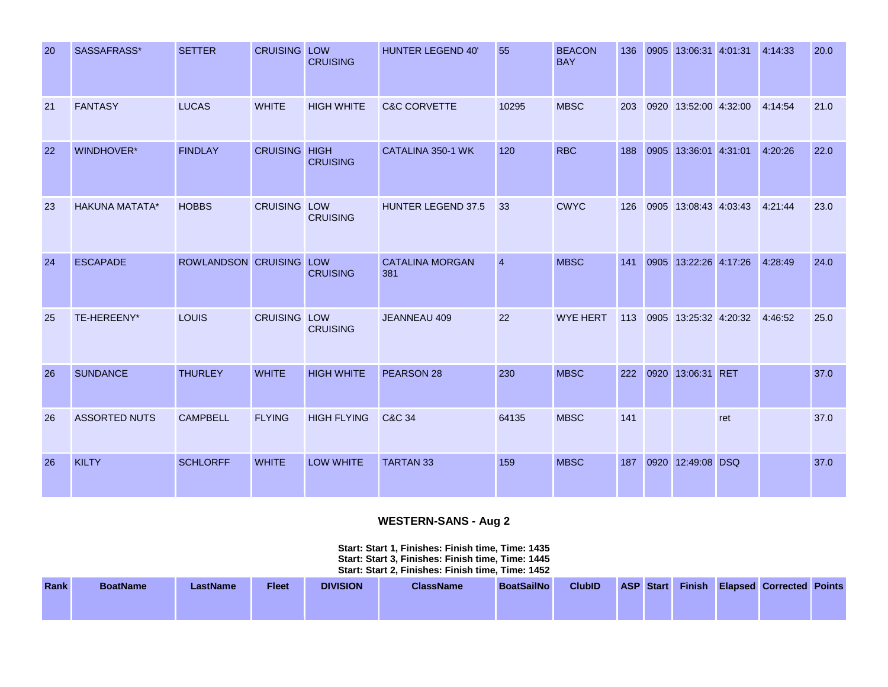| 20 | SASSAFRASS*           | <b>SETTER</b>           | <b>CRUISING LOW</b>  | <b>CRUISING</b>    | <b>HUNTER LEGEND 40'</b>      | 55             | <b>BEACON</b><br><b>BAY</b> | 136 | 0905 | 13:06:31 4:01:31      |     | 4:14:33 | 20.0 |
|----|-----------------------|-------------------------|----------------------|--------------------|-------------------------------|----------------|-----------------------------|-----|------|-----------------------|-----|---------|------|
| 21 | <b>FANTASY</b>        | <b>LUCAS</b>            | <b>WHITE</b>         | <b>HIGH WHITE</b>  | <b>C&amp;C CORVETTE</b>       | 10295          | <b>MBSC</b>                 | 203 |      | 0920 13:52:00 4:32:00 |     | 4:14:54 | 21.0 |
| 22 | WINDHOVER*            | <b>FINDLAY</b>          | <b>CRUISING HIGH</b> | <b>CRUISING</b>    | CATALINA 350-1 WK             | 120            | <b>RBC</b>                  | 188 |      | 0905 13:36:01 4:31:01 |     | 4:20:26 | 22.0 |
| 23 | <b>HAKUNA MATATA*</b> | <b>HOBBS</b>            | <b>CRUISING LOW</b>  | <b>CRUISING</b>    | HUNTER LEGEND 37.5            | 33             | <b>CWYC</b>                 | 126 |      | 0905 13:08:43 4:03:43 |     | 4:21:44 | 23.0 |
| 24 | <b>ESCAPADE</b>       | ROWLANDSON CRUISING LOW |                      | <b>CRUISING</b>    | <b>CATALINA MORGAN</b><br>381 | $\overline{4}$ | <b>MBSC</b>                 | 141 |      | 0905 13:22:26 4:17:26 |     | 4:28:49 | 24.0 |
| 25 | TE-HEREENY*           | LOUIS                   | <b>CRUISING LOW</b>  | <b>CRUISING</b>    | JEANNEAU 409                  | 22             | <b>WYE HERT</b>             | 113 |      | 0905 13:25:32 4:20:32 |     | 4:46:52 | 25.0 |
| 26 | <b>SUNDANCE</b>       | <b>THURLEY</b>          | <b>WHITE</b>         | <b>HIGH WHITE</b>  | PEARSON 28                    | 230            | <b>MBSC</b>                 | 222 |      | 0920 13:06:31 RET     |     |         | 37.0 |
| 26 | <b>ASSORTED NUTS</b>  | <b>CAMPBELL</b>         | <b>FLYING</b>        | <b>HIGH FLYING</b> | C&C 34                        | 64135          | <b>MBSC</b>                 | 141 |      |                       | ret |         | 37.0 |
| 26 | <b>KILTY</b>          | <b>SCHLORFF</b>         | <b>WHITE</b>         | <b>LOW WHITE</b>   | <b>TARTAN 33</b>              | 159            | <b>MBSC</b>                 | 187 |      | 0920 12:49:08 DSQ     |     |         | 37.0 |

# **WESTERN-SANS - Aug 2**

**Start: Start 1, Finishes: Finish time, Time: 1435 Start: Start 3, Finishes: Finish time, Time: 1445 Start: Start 2, Finishes: Finish time, Time: 1452** 

| <b>Rank</b> | <b>BoatName</b> | LastName | <b>Fleet</b> | <b>DIVISION</b> | <b>ClassName</b> | <b>BoatSailNo</b> | <b>ClubID</b> | <b>ASP</b> Start |  | <b>Finish Elapsed Corrected Points</b> |  |
|-------------|-----------------|----------|--------------|-----------------|------------------|-------------------|---------------|------------------|--|----------------------------------------|--|
|             |                 |          |              |                 |                  |                   |               |                  |  |                                        |  |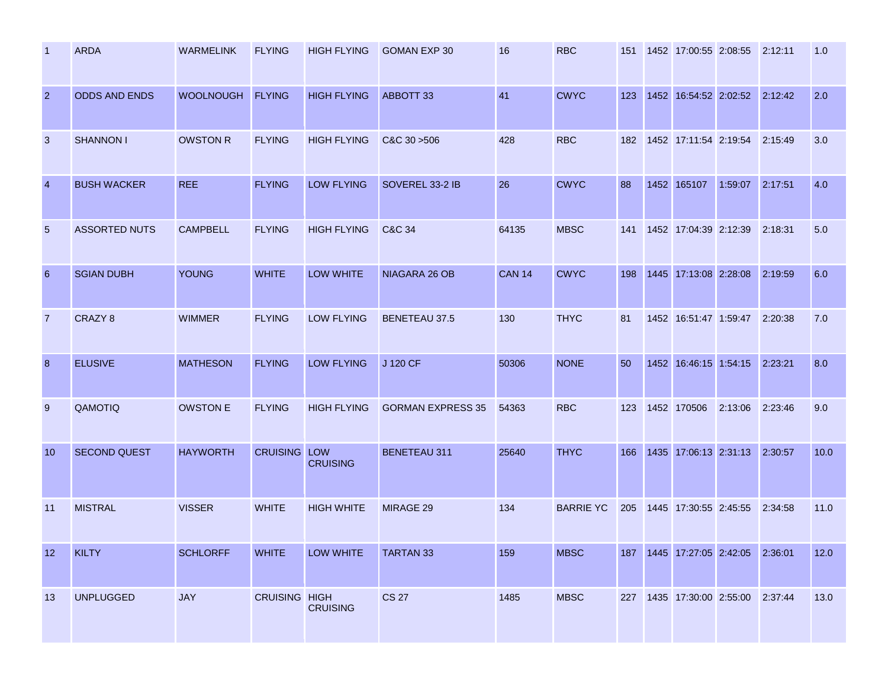| -1             | <b>ARDA</b>          | <b>WARMELINK</b> | <b>FLYING</b>        | <b>HIGH FLYING</b> | <b>GOMAN EXP 30</b>      | 16            | <b>RBC</b>       | 151 | 1452 17:00:55 2:08:55 2:12:11         |         |         | 1.0  |
|----------------|----------------------|------------------|----------------------|--------------------|--------------------------|---------------|------------------|-----|---------------------------------------|---------|---------|------|
| $\overline{2}$ | <b>ODDS AND ENDS</b> | <b>WOOLNOUGH</b> | <b>FLYING</b>        | <b>HIGH FLYING</b> | ABBOTT 33                | 41            | <b>CWYC</b>      | 123 | 1452 16:54:52 2:02:52                 |         | 2:12:42 | 2.0  |
| 3              | <b>SHANNON I</b>     | <b>OWSTON R</b>  | <b>FLYING</b>        | <b>HIGH FLYING</b> | C&C 30 > 506             | 428           | <b>RBC</b>       | 182 | 1452 17:11:54 2:19:54                 |         | 2:15:49 | 3.0  |
| $\overline{4}$ | <b>BUSH WACKER</b>   | <b>REE</b>       | <b>FLYING</b>        | <b>LOW FLYING</b>  | SOVEREL 33-2 IB          | 26            | <b>CWYC</b>      | 88  | 1452 165107                           | 1:59:07 | 2:17:51 | 4.0  |
| 5              | <b>ASSORTED NUTS</b> | <b>CAMPBELL</b>  | <b>FLYING</b>        | <b>HIGH FLYING</b> | C&C 34                   | 64135         | <b>MBSC</b>      | 141 | 1452 17:04:39 2:12:39                 |         | 2:18:31 | 5.0  |
| 6              | <b>SGIAN DUBH</b>    | <b>YOUNG</b>     | <b>WHITE</b>         | LOW WHITE          | NIAGARA 26 OB            | <b>CAN 14</b> | <b>CWYC</b>      | 198 | 1445 17:13:08 2:28:08                 |         | 2:19:59 | 6.0  |
| $\overline{7}$ | CRAZY 8              | <b>WIMMER</b>    | <b>FLYING</b>        | <b>LOW FLYING</b>  | <b>BENETEAU 37.5</b>     | 130           | <b>THYC</b>      | 81  | 1452 16:51:47 1:59:47                 |         | 2:20:38 | 7.0  |
| 8              | <b>ELUSIVE</b>       | <b>MATHESON</b>  | <b>FLYING</b>        | <b>LOW FLYING</b>  | J 120 CF                 | 50306         | <b>NONE</b>      | 50  | 1452 16:46:15 1:54:15                 |         | 2:23:21 | 8.0  |
| 9              | QAMOTIQ              | <b>OWSTON E</b>  | <b>FLYING</b>        | <b>HIGH FLYING</b> | <b>GORMAN EXPRESS 35</b> | 54363         | <b>RBC</b>       | 123 | 1452 170506                           | 2:13:06 | 2:23:46 | 9.0  |
| 10             | <b>SECOND QUEST</b>  | <b>HAYWORTH</b>  | <b>CRUISING LOW</b>  | <b>CRUISING</b>    | <b>BENETEAU 311</b>      | 25640         | <b>THYC</b>      | 166 | 1435 17:06:13 2:31:13                 |         | 2:30:57 | 10.0 |
| 11             | <b>MISTRAL</b>       | <b>VISSER</b>    | <b>WHITE</b>         | <b>HIGH WHITE</b>  | MIRAGE 29                | 134           | <b>BARRIE YC</b> | 205 | 1445 17:30:55 2:45:55                 |         | 2:34:58 | 11.0 |
| 12             | <b>KILTY</b>         | <b>SCHLORFF</b>  | <b>WHITE</b>         | <b>LOW WHITE</b>   | <b>TARTAN 33</b>         | 159           | <b>MBSC</b>      |     | 187  1445  17:27:05  2:42:05  2:36:01 |         |         | 12.0 |
| 13             | <b>UNPLUGGED</b>     | <b>JAY</b>       | <b>CRUISING HIGH</b> | <b>CRUISING</b>    | <b>CS 27</b>             | 1485          | <b>MBSC</b>      | 227 | 1435 17:30:00 2:55:00 2:37:44         |         |         | 13.0 |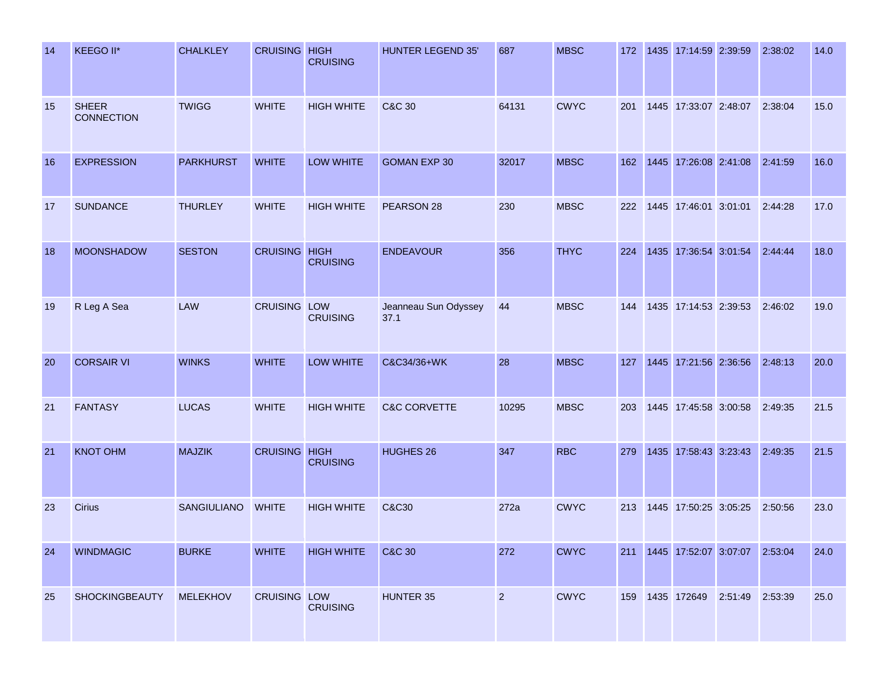| 14 | KEEGO II*                         | <b>CHALKLEY</b>  | <b>CRUISING HIGH</b> | <b>CRUISING</b>   | <b>HUNTER LEGEND 35'</b>     | 687            | <b>MBSC</b> | 172 | 1435 17:14:59 2:39:59             |                 | 2:38:02 | 14.0 |
|----|-----------------------------------|------------------|----------------------|-------------------|------------------------------|----------------|-------------|-----|-----------------------------------|-----------------|---------|------|
| 15 | <b>SHEER</b><br><b>CONNECTION</b> | <b>TWIGG</b>     | <b>WHITE</b>         | <b>HIGH WHITE</b> | <b>C&amp;C 30</b>            | 64131          | <b>CWYC</b> | 201 | 1445 17:33:07 2:48:07             |                 | 2:38:04 | 15.0 |
| 16 | <b>EXPRESSION</b>                 | <b>PARKHURST</b> | <b>WHITE</b>         | LOW WHITE         | <b>GOMAN EXP 30</b>          | 32017          | <b>MBSC</b> | 162 | 1445 17:26:08 2:41:08             |                 | 2:41:59 | 16.0 |
| 17 | <b>SUNDANCE</b>                   | <b>THURLEY</b>   | <b>WHITE</b>         | <b>HIGH WHITE</b> | PEARSON 28                   | 230            | <b>MBSC</b> | 222 | 1445 17:46:01 3:01:01             |                 | 2:44:28 | 17.0 |
| 18 | <b>MOONSHADOW</b>                 | <b>SESTON</b>    | <b>CRUISING HIGH</b> | <b>CRUISING</b>   | <b>ENDEAVOUR</b>             | 356            | <b>THYC</b> | 224 | 1435 17:36:54 3:01:54 2:44:44     |                 |         | 18.0 |
| 19 | R Leg A Sea                       | LAW              | <b>CRUISING LOW</b>  | <b>CRUISING</b>   | Jeanneau Sun Odyssey<br>37.1 | 44             | <b>MBSC</b> | 144 | 1435 17:14:53 2:39:53             |                 | 2:46:02 | 19.0 |
| 20 | <b>CORSAIR VI</b>                 | <b>WINKS</b>     | <b>WHITE</b>         | LOW WHITE         | C&C34/36+WK                  | 28             | <b>MBSC</b> | 127 | 1445 17:21:56 2:36:56             |                 | 2:48:13 | 20.0 |
| 21 | <b>FANTASY</b>                    | <b>LUCAS</b>     | <b>WHITE</b>         | <b>HIGH WHITE</b> | <b>C&amp;C CORVETTE</b>      | 10295          | <b>MBSC</b> | 203 | 1445 17:45:58 3:00:58             |                 | 2:49:35 | 21.5 |
| 21 | <b>KNOT OHM</b>                   | <b>MAJZIK</b>    | <b>CRUISING HIGH</b> | <b>CRUISING</b>   | <b>HUGHES 26</b>             | 347            | <b>RBC</b>  | 279 | 1435 17:58:43 3:23:43             |                 | 2:49:35 | 21.5 |
| 23 | Cirius                            | SANGIULIANO      | <b>WHITE</b>         | <b>HIGH WHITE</b> | C&C30                        | 272a           | <b>CWYC</b> | 213 | 1445 17:50:25 3:05:25             |                 | 2:50:56 | 23.0 |
| 24 | <b>WINDMAGIC</b>                  | <b>BURKE</b>     | <b>WHITE</b>         | <b>HIGH WHITE</b> | C&C 30                       | 272            | <b>CWYC</b> |     | 211 1445 17:52:07 3:07:07 2:53:04 |                 |         | 24.0 |
| 25 | SHOCKINGBEAUTY                    | <b>MELEKHOV</b>  | <b>CRUISING LOW</b>  | <b>CRUISING</b>   | HUNTER 35                    | $\overline{2}$ | <b>CWYC</b> |     | 159 1435 172649                   | 2:51:49 2:53:39 |         | 25.0 |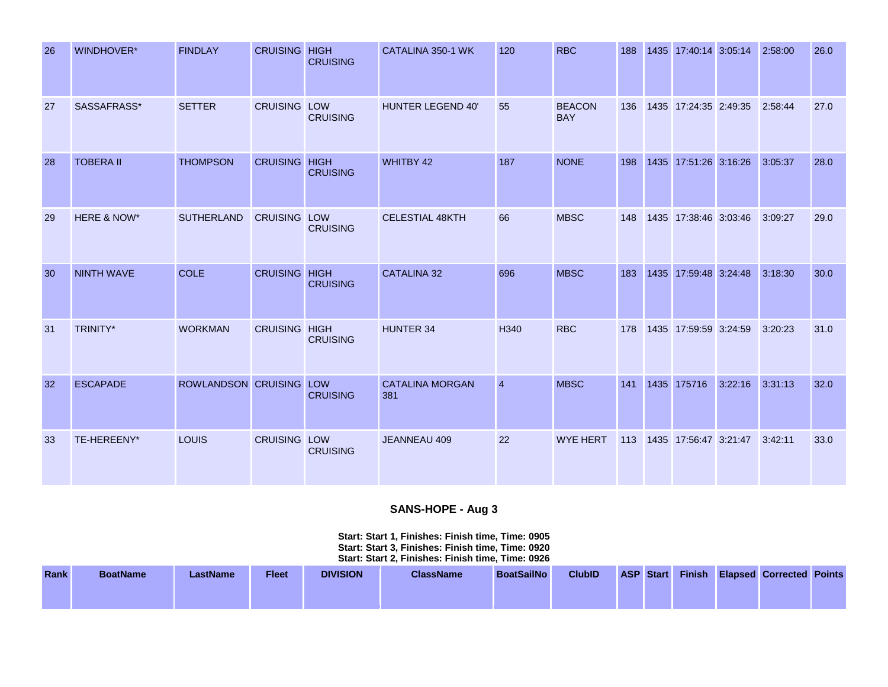| 26 | WINDHOVER*        | <b>FINDLAY</b>          | <b>CRUISING HIGH</b> | <b>CRUISING</b> | CATALINA 350-1 WK             | 120            | <b>RBC</b>                  | 188 | 1435 17:40:14 3:05:14     |         | 2:58:00 | 26.0 |
|----|-------------------|-------------------------|----------------------|-----------------|-------------------------------|----------------|-----------------------------|-----|---------------------------|---------|---------|------|
| 27 | SASSAFRASS*       | <b>SETTER</b>           | <b>CRUISING LOW</b>  | <b>CRUISING</b> | HUNTER LEGEND 40'             | 55             | <b>BEACON</b><br><b>BAY</b> | 136 | 1435 17:24:35 2:49:35     |         | 2:58:44 | 27.0 |
| 28 | <b>TOBERA II</b>  | <b>THOMPSON</b>         | <b>CRUISING HIGH</b> | <b>CRUISING</b> | WHITBY 42                     | 187            | <b>NONE</b>                 | 198 | 1435 17:51:26 3:16:26     |         | 3:05:37 | 28.0 |
| 29 | HERE & NOW*       | <b>SUTHERLAND</b>       | <b>CRUISING LOW</b>  | <b>CRUISING</b> | <b>CELESTIAL 48KTH</b>        | 66             | <b>MBSC</b>                 | 148 | 1435 17:38:46 3:03:46     |         | 3:09:27 | 29.0 |
| 30 | <b>NINTH WAVE</b> | <b>COLE</b>             | <b>CRUISING HIGH</b> | <b>CRUISING</b> | <b>CATALINA 32</b>            | 696            | <b>MBSC</b>                 | 183 | 1435 17:59:48 3:24:48     |         | 3:18:30 | 30.0 |
| 31 | <b>TRINITY*</b>   | <b>WORKMAN</b>          | <b>CRUISING HIGH</b> | <b>CRUISING</b> | <b>HUNTER 34</b>              | H340           | <b>RBC</b>                  | 178 | 1435 17:59:59 3:24:59     |         | 3:20:23 | 31.0 |
| 32 | <b>ESCAPADE</b>   | ROWLANDSON CRUISING LOW |                      | <b>CRUISING</b> | <b>CATALINA MORGAN</b><br>381 | $\overline{4}$ | <b>MBSC</b>                 | 141 | 1435 175716               | 3:22:16 | 3:31:13 | 32.0 |
| 33 | TE-HEREENY*       | <b>LOUIS</b>            | <b>CRUISING LOW</b>  | <b>CRUISING</b> | JEANNEAU 409                  | 22             | <b>WYE HERT</b>             |     | 113 1435 17:56:47 3:21:47 |         | 3:42:11 | 33.0 |

# **SANS-HOPE - Aug 3**

#### **Start: Start 1, Finishes: Finish time, Time: 0905 Start: Start 3, Finishes: Finish time, Time: 0920 Start: Start 2, Finishes: Finish time, Time: 0926**

| <b>Rank</b> | <b>BoatName</b> | LastName | <b>Fleet</b> | <b>DIVISION</b> | <b>ClassName</b> | <b>BoatSailNo</b> | <b>ClubID</b> | ASP Start |  | <b>Finish Elapsed Corrected Points</b> |  |
|-------------|-----------------|----------|--------------|-----------------|------------------|-------------------|---------------|-----------|--|----------------------------------------|--|
|             |                 |          |              |                 |                  |                   |               |           |  |                                        |  |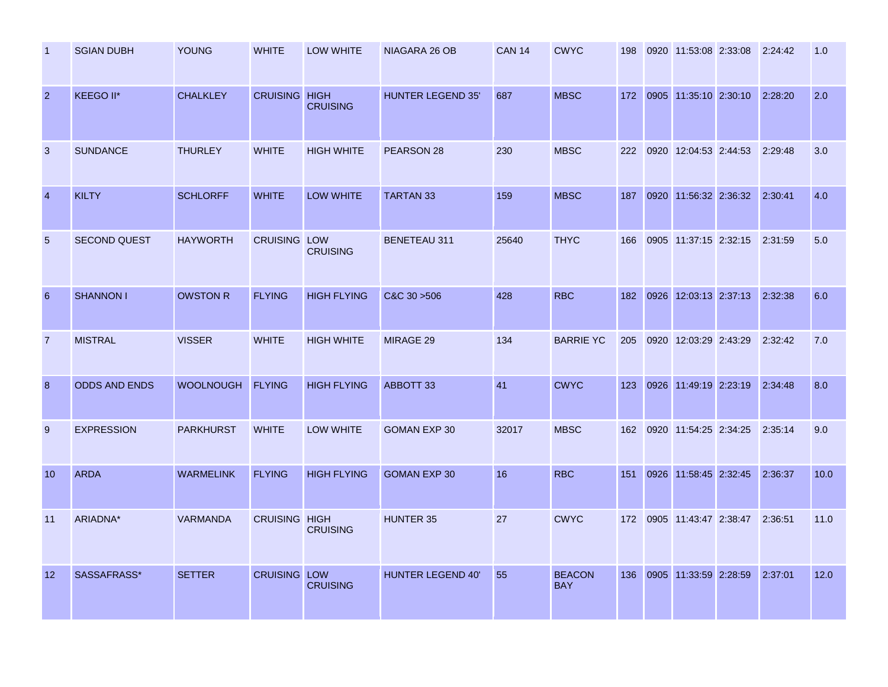| -1             | <b>SGIAN DUBH</b>    | <b>YOUNG</b>     | <b>WHITE</b>         | LOW WHITE          | NIAGARA 26 OB            | <b>CAN 14</b> | <b>CWYC</b>                 | 198 | 0920 11:53:08 2:33:08 | 2:24:42 | 1.0  |
|----------------|----------------------|------------------|----------------------|--------------------|--------------------------|---------------|-----------------------------|-----|-----------------------|---------|------|
| $\overline{2}$ | KEEGO II*            | <b>CHALKLEY</b>  | <b>CRUISING HIGH</b> | <b>CRUISING</b>    | <b>HUNTER LEGEND 35'</b> | 687           | <b>MBSC</b>                 | 172 | 0905 11:35:10 2:30:10 | 2:28:20 | 2.0  |
| 3              | <b>SUNDANCE</b>      | <b>THURLEY</b>   | <b>WHITE</b>         | <b>HIGH WHITE</b>  | PEARSON 28               | 230           | <b>MBSC</b>                 | 222 | 0920 12:04:53 2:44:53 | 2:29:48 | 3.0  |
| $\overline{4}$ | <b>KILTY</b>         | <b>SCHLORFF</b>  | <b>WHITE</b>         | <b>LOW WHITE</b>   | <b>TARTAN 33</b>         | 159           | <b>MBSC</b>                 | 187 | 0920 11:56:32 2:36:32 | 2:30:41 | 4.0  |
| 5              | <b>SECOND QUEST</b>  | <b>HAYWORTH</b>  | <b>CRUISING LOW</b>  | <b>CRUISING</b>    | <b>BENETEAU 311</b>      | 25640         | <b>THYC</b>                 | 166 | 0905 11:37:15 2:32:15 | 2:31:59 | 5.0  |
| 6              | <b>SHANNON I</b>     | <b>OWSTON R</b>  | <b>FLYING</b>        | <b>HIGH FLYING</b> | $C&C$ 30 $>506$          | 428           | <b>RBC</b>                  | 182 | 0926 12:03:13 2:37:13 | 2:32:38 | 6.0  |
| $\overline{7}$ | <b>MISTRAL</b>       | <b>VISSER</b>    | <b>WHITE</b>         | <b>HIGH WHITE</b>  | MIRAGE 29                | 134           | <b>BARRIE YC</b>            | 205 | 0920 12:03:29 2:43:29 | 2:32:42 | 7.0  |
| 8              | <b>ODDS AND ENDS</b> | <b>WOOLNOUGH</b> | <b>FLYING</b>        | <b>HIGH FLYING</b> | ABBOTT 33                | 41            | <b>CWYC</b>                 | 123 | 0926 11:49:19 2:23:19 | 2:34:48 | 8.0  |
| 9              | <b>EXPRESSION</b>    | <b>PARKHURST</b> | <b>WHITE</b>         | LOW WHITE          | <b>GOMAN EXP 30</b>      | 32017         | <b>MBSC</b>                 | 162 | 0920 11:54:25 2:34:25 | 2:35:14 | 9.0  |
| 10             | <b>ARDA</b>          | <b>WARMELINK</b> | <b>FLYING</b>        | <b>HIGH FLYING</b> | <b>GOMAN EXP 30</b>      | 16            | <b>RBC</b>                  | 151 | 0926 11:58:45 2:32:45 | 2:36:37 | 10.0 |
| 11             | ARIADNA*             | <b>VARMANDA</b>  | <b>CRUISING HIGH</b> | <b>CRUISING</b>    | <b>HUNTER 35</b>         | 27            | <b>CWYC</b>                 | 172 | 0905 11:43:47 2:38:47 | 2:36:51 | 11.0 |
| 12             | SASSAFRASS*          | <b>SETTER</b>    | <b>CRUISING LOW</b>  | <b>CRUISING</b>    | <b>HUNTER LEGEND 40'</b> | 55            | <b>BEACON</b><br><b>BAY</b> | 136 | 0905 11:33:59 2:28:59 | 2:37:01 | 12.0 |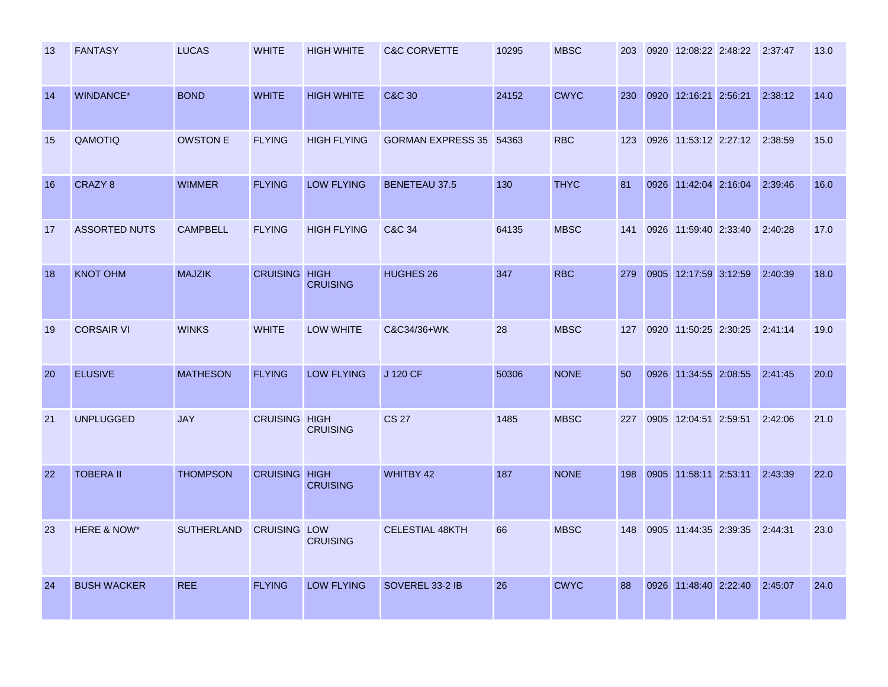| -13 | <b>FANTASY</b>       | <b>LUCAS</b>      | <b>WHITE</b>         | <b>HIGH WHITE</b>  | <b>C&amp;C CORVETTE</b> | 10295 | <b>MBSC</b> | 203 | 0920 12:08:22 2:48:22 2:37:47 |         | 13.0 |
|-----|----------------------|-------------------|----------------------|--------------------|-------------------------|-------|-------------|-----|-------------------------------|---------|------|
| 14  | <b>WINDANCE*</b>     | <b>BOND</b>       | <b>WHITE</b>         | <b>HIGH WHITE</b>  | <b>C&amp;C 30</b>       | 24152 | <b>CWYC</b> | 230 | 0920 12:16:21 2:56:21         | 2:38:12 | 14.0 |
| 15  | QAMOTIQ              | <b>OWSTON E</b>   | <b>FLYING</b>        | <b>HIGH FLYING</b> | GORMAN EXPRESS 35 54363 |       | <b>RBC</b>  | 123 | 0926 11:53:12 2:27:12 2:38:59 |         | 15.0 |
| 16  | CRAZY 8              | <b>WIMMER</b>     | <b>FLYING</b>        | <b>LOW FLYING</b>  | <b>BENETEAU 37.5</b>    | 130   | <b>THYC</b> | 81  | 0926 11:42:04 2:16:04         | 2:39:46 | 16.0 |
| 17  | <b>ASSORTED NUTS</b> | <b>CAMPBELL</b>   | <b>FLYING</b>        | <b>HIGH FLYING</b> | C&C 34                  | 64135 | <b>MBSC</b> | 141 | 0926 11:59:40 2:33:40         | 2:40:28 | 17.0 |
| 18  | <b>KNOT OHM</b>      | <b>MAJZIK</b>     | <b>CRUISING HIGH</b> | <b>CRUISING</b>    | HUGHES 26               | 347   | <b>RBC</b>  | 279 | 0905 12:17:59 3:12:59         | 2:40:39 | 18.0 |
| 19  | <b>CORSAIR VI</b>    | <b>WINKS</b>      | <b>WHITE</b>         | <b>LOW WHITE</b>   | C&C34/36+WK             | 28    | <b>MBSC</b> | 127 | 0920 11:50:25 2:30:25         | 2:41:14 | 19.0 |
| 20  | <b>ELUSIVE</b>       | <b>MATHESON</b>   | <b>FLYING</b>        | <b>LOW FLYING</b>  | J 120 CF                | 50306 | <b>NONE</b> | 50  | 0926 11:34:55 2:08:55         | 2:41:45 | 20.0 |
| 21  | <b>UNPLUGGED</b>     | <b>JAY</b>        | <b>CRUISING HIGH</b> | <b>CRUISING</b>    | <b>CS 27</b>            | 1485  | <b>MBSC</b> | 227 | 0905 12:04:51 2:59:51         | 2:42:06 | 21.0 |
| 22  | <b>TOBERA II</b>     | <b>THOMPSON</b>   | <b>CRUISING HIGH</b> | <b>CRUISING</b>    | <b>WHITBY 42</b>        | 187   | <b>NONE</b> | 198 | 0905 11:58:11 2:53:11         | 2:43:39 | 22.0 |
| 23  | HERE & NOW*          | <b>SUTHERLAND</b> | <b>CRUISING LOW</b>  | <b>CRUISING</b>    | <b>CELESTIAL 48KTH</b>  | 66    | <b>MBSC</b> | 148 | 0905 11:44:35 2:39:35         | 2:44:31 | 23.0 |
| 24  | <b>BUSH WACKER</b>   | <b>REE</b>        | <b>FLYING</b>        | <b>LOW FLYING</b>  | SOVEREL 33-2 IB         | 26    | <b>CWYC</b> | 88  | 0926 11:48:40 2:22:40         | 2:45:07 | 24.0 |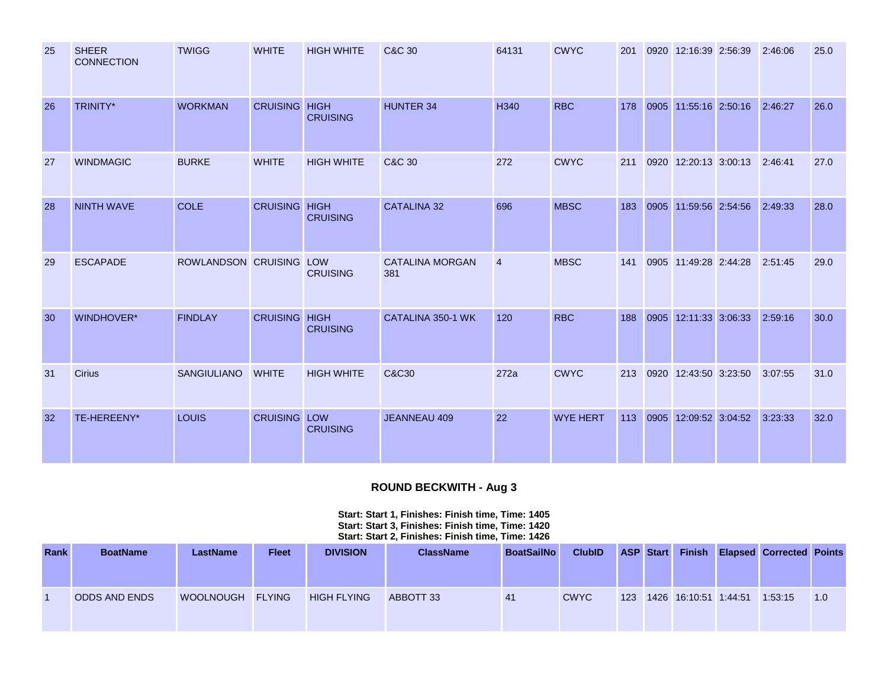| 25 | <b>SHEER</b><br><b>CONNECTION</b> | <b>TWIGG</b>            | <b>WHITE</b>         | <b>HIGH WHITE</b> | <b>C&amp;C 30</b>             | 64131          | <b>CWYC</b>     | 201 | 0920 12:16:39 2:56:39         | 2:46:06 | 25.0 |
|----|-----------------------------------|-------------------------|----------------------|-------------------|-------------------------------|----------------|-----------------|-----|-------------------------------|---------|------|
| 26 | <b>TRINITY*</b>                   | <b>WORKMAN</b>          | <b>CRUISING HIGH</b> | <b>CRUISING</b>   | <b>HUNTER 34</b>              | H340           | <b>RBC</b>      | 178 | 0905 11:55:16 2:50:16 2:46:27 |         | 26.0 |
| 27 | <b>WINDMAGIC</b>                  | <b>BURKE</b>            | <b>WHITE</b>         | <b>HIGH WHITE</b> | C&C 30                        | 272            | <b>CWYC</b>     | 211 | 0920 12:20:13 3:00:13         | 2:46:41 | 27.0 |
| 28 | <b>NINTH WAVE</b>                 | <b>COLE</b>             | <b>CRUISING HIGH</b> | <b>CRUISING</b>   | <b>CATALINA 32</b>            | 696            | <b>MBSC</b>     | 183 | 0905 11:59:56 2:54:56         | 2:49:33 | 28.0 |
| 29 | <b>ESCAPADE</b>                   | ROWLANDSON CRUISING LOW |                      | <b>CRUISING</b>   | <b>CATALINA MORGAN</b><br>381 | $\overline{4}$ | <b>MBSC</b>     | 141 | 0905 11:49:28 2:44:28         | 2:51:45 | 29.0 |
| 30 | WINDHOVER*                        | <b>FINDLAY</b>          | <b>CRUISING HIGH</b> | <b>CRUISING</b>   | CATALINA 350-1 WK             | 120            | <b>RBC</b>      | 188 | 0905 12:11:33 3:06:33         | 2:59:16 | 30.0 |
| 31 | <b>Cirius</b>                     | <b>SANGIULIANO</b>      | <b>WHITE</b>         | <b>HIGH WHITE</b> | C&C30                         | 272a           | <b>CWYC</b>     | 213 | 0920 12:43:50 3:23:50         | 3:07:55 | 31.0 |
| 32 | TE-HEREENY*                       | LOUIS                   | <b>CRUISING LOW</b>  | <b>CRUISING</b>   | <b>JEANNEAU 409</b>           | 22             | <b>WYE HERT</b> | 113 | 0905 12:09:52 3:04:52         | 3:23:33 | 32.0 |

# **ROUND BECKWITH - Aug 3**

**Start: Start 1, Finishes: Finish time, Time: 1405 Start: Start 3, Finishes: Finish time, Time: 1420 Start: Start 2, Finishes: Finish time, Time: 1426** 

| <b>Rank</b> | <b>BoatName</b>      | <b>LastName</b>  | <b>Fleet</b> | <b>DIVISION</b>    | <b>ClassName</b> | <b>BoatSailNo</b> | <b>ClubID</b> |     | ASP Start | <b>Finish</b>         | <b>Elapsed Corrected Points</b> |     |
|-------------|----------------------|------------------|--------------|--------------------|------------------|-------------------|---------------|-----|-----------|-----------------------|---------------------------------|-----|
|             |                      |                  |              |                    |                  |                   |               |     |           |                       |                                 |     |
|             | <b>ODDS AND ENDS</b> | WOOLNOUGH FLYING |              | <b>HIGH FLYING</b> | ABBOTT 33        | 41                | <b>CWYC</b>   | 123 |           | 1426 16:10:51 1:44:51 | 1:53:15                         | 1.0 |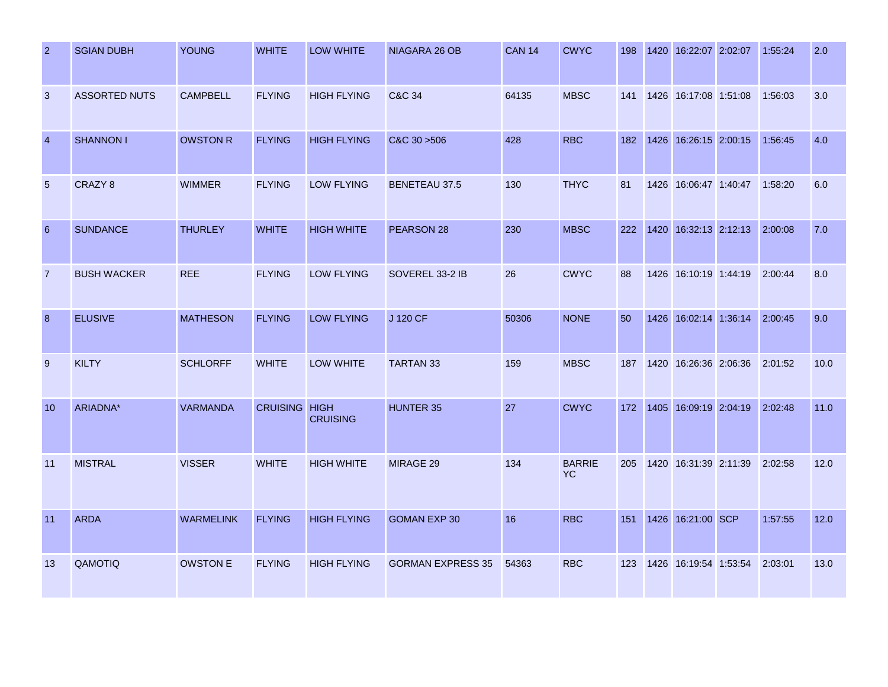| $\overline{2}$  | <b>SGIAN DUBH</b>    | <b>YOUNG</b>     | <b>WHITE</b>         | LOW WHITE          | NIAGARA 26 OB            | <b>CAN 14</b> | <b>CWYC</b>                | 198 | 1420 16:22:07 2:02:07         | 1:55:24 | 2.0  |
|-----------------|----------------------|------------------|----------------------|--------------------|--------------------------|---------------|----------------------------|-----|-------------------------------|---------|------|
| 3               | <b>ASSORTED NUTS</b> | <b>CAMPBELL</b>  | <b>FLYING</b>        | <b>HIGH FLYING</b> | <b>C&amp;C 34</b>        | 64135         | <b>MBSC</b>                | 141 | 1426 16:17:08 1:51:08         | 1:56:03 | 3.0  |
| $\overline{4}$  | <b>SHANNON I</b>     | <b>OWSTON R</b>  | <b>FLYING</b>        | <b>HIGH FLYING</b> | C&C30>506                | 428           | <b>RBC</b>                 | 182 | 1426 16:26:15 2:00:15         | 1:56:45 | 4.0  |
| 5               | CRAZY <sub>8</sub>   | <b>WIMMER</b>    | <b>FLYING</b>        | <b>LOW FLYING</b>  | <b>BENETEAU 37.5</b>     | 130           | <b>THYC</b>                | 81  | 1426 16:06:47 1:40:47         | 1:58:20 | 6.0  |
| $6\phantom{1}6$ | <b>SUNDANCE</b>      | <b>THURLEY</b>   | <b>WHITE</b>         | <b>HIGH WHITE</b>  | PEARSON 28               | 230           | <b>MBSC</b>                | 222 | 1420 16:32:13 2:12:13         | 2:00:08 | 7.0  |
| $\overline{7}$  | <b>BUSH WACKER</b>   | <b>REE</b>       | <b>FLYING</b>        | <b>LOW FLYING</b>  | SOVEREL 33-2 IB          | 26            | <b>CWYC</b>                | 88  | 1426 16:10:19 1:44:19         | 2:00:44 | 8.0  |
| 8               | <b>ELUSIVE</b>       | <b>MATHESON</b>  | <b>FLYING</b>        | <b>LOW FLYING</b>  | J 120 CF                 | 50306         | <b>NONE</b>                | 50  | 1426 16:02:14 1:36:14 2:00:45 |         | 9.0  |
| 9               | <b>KILTY</b>         | <b>SCHLORFF</b>  | <b>WHITE</b>         | LOW WHITE          | <b>TARTAN 33</b>         | 159           | <b>MBSC</b>                | 187 | 1420 16:26:36 2:06:36         | 2:01:52 | 10.0 |
| 10              | ARIADNA*             | <b>VARMANDA</b>  | <b>CRUISING HIGH</b> | <b>CRUISING</b>    | <b>HUNTER 35</b>         | 27            | <b>CWYC</b>                | 172 | 1405 16:09:19 2:04:19 2:02:48 |         | 11.0 |
| 11              | <b>MISTRAL</b>       | <b>VISSER</b>    | <b>WHITE</b>         | <b>HIGH WHITE</b>  | MIRAGE 29                | 134           | <b>BARRIE</b><br><b>YC</b> | 205 | 1420 16:31:39 2:11:39         | 2:02:58 | 12.0 |
| 11              | <b>ARDA</b>          | <b>WARMELINK</b> | <b>FLYING</b>        | <b>HIGH FLYING</b> | <b>GOMAN EXP 30</b>      | 16            | <b>RBC</b>                 | 151 | 1426 16:21:00 SCP             | 1:57:55 | 12.0 |
| 13              | QAMOTIQ              | <b>OWSTON E</b>  | <b>FLYING</b>        | <b>HIGH FLYING</b> | <b>GORMAN EXPRESS 35</b> | 54363         | <b>RBC</b>                 | 123 | 1426 16:19:54 1:53:54         | 2:03:01 | 13.0 |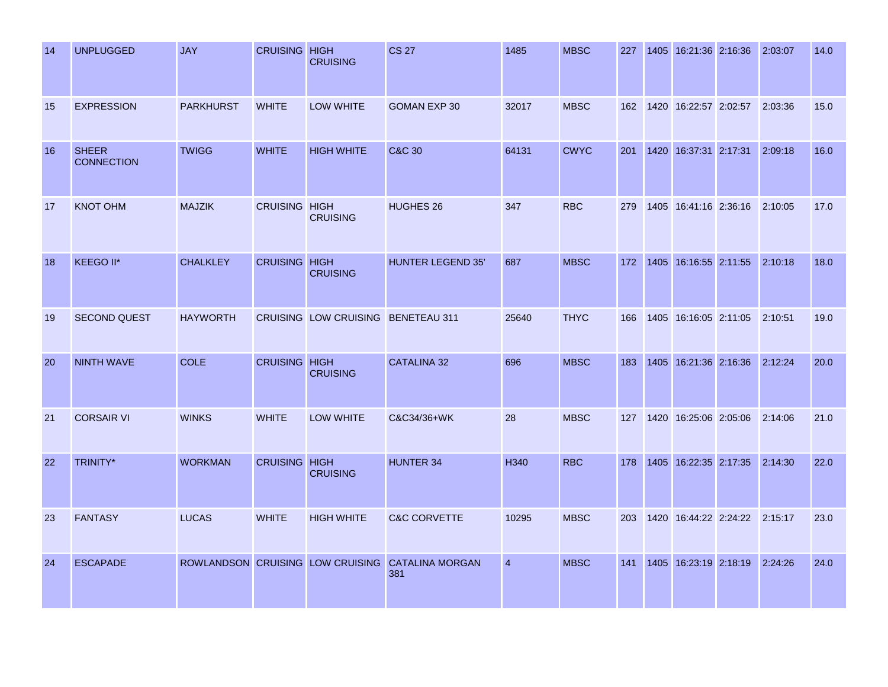| 14 | <b>UNPLUGGED</b>                  | <b>JAY</b>       | <b>CRUISING HIGH</b> | <b>CRUISING</b>                    | <b>CS 27</b>                                            | 1485           | <b>MBSC</b> | 227 | 1405 16:21:36 2:16:36         | 2:03:07 | 14.0 |
|----|-----------------------------------|------------------|----------------------|------------------------------------|---------------------------------------------------------|----------------|-------------|-----|-------------------------------|---------|------|
| 15 | <b>EXPRESSION</b>                 | <b>PARKHURST</b> | <b>WHITE</b>         | LOW WHITE                          | <b>GOMAN EXP 30</b>                                     | 32017          | <b>MBSC</b> | 162 | 1420 16:22:57 2:02:57         | 2:03:36 | 15.0 |
| 16 | <b>SHEER</b><br><b>CONNECTION</b> | <b>TWIGG</b>     | <b>WHITE</b>         | <b>HIGH WHITE</b>                  | <b>C&amp;C 30</b>                                       | 64131          | <b>CWYC</b> | 201 | 1420 16:37:31 2:17:31         | 2:09:18 | 16.0 |
| 17 | <b>KNOT OHM</b>                   | <b>MAJZIK</b>    | <b>CRUISING HIGH</b> | <b>CRUISING</b>                    | <b>HUGHES 26</b>                                        | 347            | <b>RBC</b>  | 279 | 1405 16:41:16 2:36:16         | 2:10:05 | 17.0 |
| 18 | <b>KEEGO II*</b>                  | <b>CHALKLEY</b>  | <b>CRUISING HIGH</b> | <b>CRUISING</b>                    | <b>HUNTER LEGEND 35'</b>                                | 687            | <b>MBSC</b> | 172 | 1405 16:16:55 2:11:55         | 2:10:18 | 18.0 |
| 19 | <b>SECOND QUEST</b>               | <b>HAYWORTH</b>  |                      | CRUISING LOW CRUISING BENETEAU 311 |                                                         | 25640          | <b>THYC</b> | 166 | 1405 16:16:05 2:11:05         | 2:10:51 | 19.0 |
| 20 | <b>NINTH WAVE</b>                 | <b>COLE</b>      | <b>CRUISING HIGH</b> | <b>CRUISING</b>                    | <b>CATALINA 32</b>                                      | 696            | <b>MBSC</b> | 183 | 1405 16:21:36 2:16:36         | 2:12:24 | 20.0 |
| 21 | <b>CORSAIR VI</b>                 | <b>WINKS</b>     | <b>WHITE</b>         | LOW WHITE                          | C&C34/36+WK                                             | 28             | <b>MBSC</b> | 127 | 1420 16:25:06 2:05:06         | 2:14:06 | 21.0 |
| 22 | TRINITY*                          | <b>WORKMAN</b>   | <b>CRUISING HIGH</b> | <b>CRUISING</b>                    | HUNTER 34                                               | H340           | <b>RBC</b>  | 178 | 1405 16:22:35 2:17:35         | 2:14:30 | 22.0 |
| 23 | <b>FANTASY</b>                    | <b>LUCAS</b>     | <b>WHITE</b>         | <b>HIGH WHITE</b>                  | <b>C&amp;C CORVETTE</b>                                 | 10295          | <b>MBSC</b> | 203 | 1420 16:44:22 2:24:22 2:15:17 |         | 23.0 |
| 24 | <b>ESCAPADE</b>                   |                  |                      |                                    | ROWLANDSON CRUISING LOW CRUISING CATALINA MORGAN<br>381 | $\overline{4}$ | <b>MBSC</b> | 141 | 1405 16:23:19 2:18:19         | 2:24:26 | 24.0 |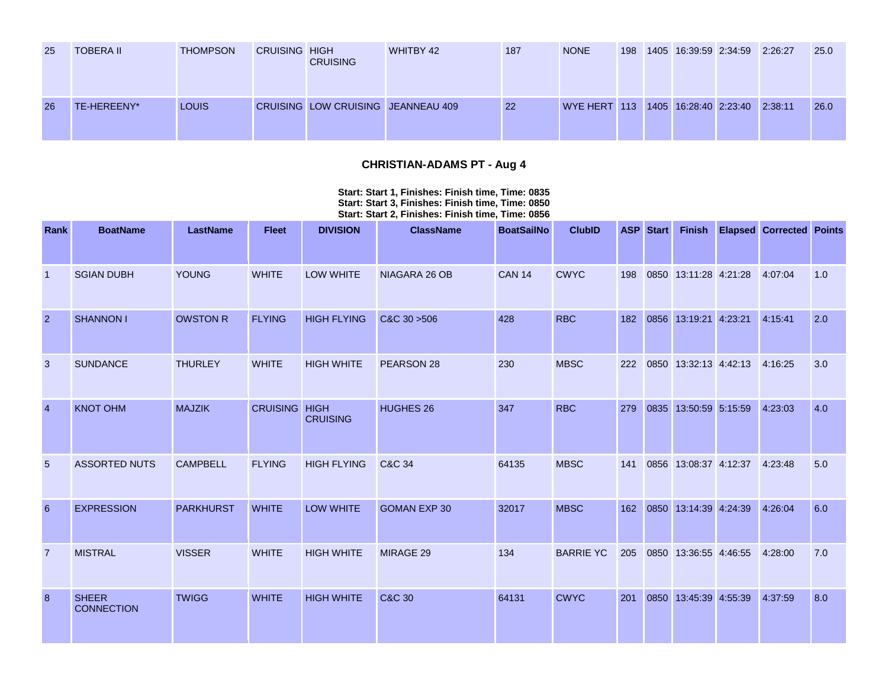| 25 | TOBERA II   | <b>THOMPSON</b> | <b>CRUISING HIGH</b> | <b>CRUISING</b>                    | <b>WHITBY 42</b> | 187 | <b>NONE</b>                                | 198 | 1405 16:39:59 2:34:59 2:26:27 |  | 25.0 |
|----|-------------|-----------------|----------------------|------------------------------------|------------------|-----|--------------------------------------------|-----|-------------------------------|--|------|
| 26 | TE-HEREENY* | LOUIS           |                      | CRUISING LOW CRUISING JEANNEAU 409 |                  | 22  | WYE HERT 113 1405 16:28:40 2:23:40 2:38:11 |     |                               |  | 26.0 |

# **CHRISTIAN-ADAMS PT - Aug 4**

#### **Start: Start 1, Finishes: Finish time, Time: 0835 Start: Start 3, Finishes: Finish time, Time: 0850 Start: Start 2, Finishes: Finish time, Time: 0856**

| Rank            | <b>BoatName</b>                   | <b>LastName</b>  | <b>Fleet</b>         | <b>DIVISION</b>    | <b>ClassName</b>    | <b>BoatSailNo</b> | <b>ClubID</b>    | <b>ASP</b> | <b>Start</b> | Finish                | <b>Elapsed Corrected Points</b> |     |
|-----------------|-----------------------------------|------------------|----------------------|--------------------|---------------------|-------------------|------------------|------------|--------------|-----------------------|---------------------------------|-----|
|                 |                                   |                  |                      |                    |                     |                   |                  |            |              |                       |                                 |     |
|                 | <b>SGIAN DUBH</b>                 | <b>YOUNG</b>     | <b>WHITE</b>         | <b>LOW WHITE</b>   | NIAGARA 26 OB       | <b>CAN 14</b>     | <b>CWYC</b>      | 198        |              | 0850 13:11:28 4:21:28 | 4:07:04                         | 1.0 |
| $\overline{2}$  | <b>SHANNON I</b>                  | <b>OWSTON R</b>  | <b>FLYING</b>        | <b>HIGH FLYING</b> | C&C 30 > 506        | 428               | <b>RBC</b>       | 182        |              | 0856 13:19:21 4:23:21 | 4:15:41                         | 2.0 |
| 3               | <b>SUNDANCE</b>                   | <b>THURLEY</b>   | <b>WHITE</b>         | <b>HIGH WHITE</b>  | PEARSON 28          | 230               | <b>MBSC</b>      | 222        |              | 0850 13:32:13 4:42:13 | 4:16:25                         | 3.0 |
| $\overline{4}$  | <b>KNOT OHM</b>                   | <b>MAJZIK</b>    | <b>CRUISING HIGH</b> | <b>CRUISING</b>    | HUGHES 26           | 347               | <b>RBC</b>       | 279        |              | 0835 13:50:59 5:15:59 | 4:23:03                         | 4.0 |
| $5\phantom{.0}$ | <b>ASSORTED NUTS</b>              | <b>CAMPBELL</b>  | <b>FLYING</b>        | <b>HIGH FLYING</b> | C&C 34              | 64135             | <b>MBSC</b>      | 141        |              | 0856 13:08:37 4:12:37 | 4:23:48                         | 5.0 |
| 6               | <b>EXPRESSION</b>                 | <b>PARKHURST</b> | <b>WHITE</b>         | <b>LOW WHITE</b>   | <b>GOMAN EXP 30</b> | 32017             | <b>MBSC</b>      | 162        |              | 0850 13:14:39 4:24:39 | 4:26:04                         | 6.0 |
| $\overline{7}$  | <b>MISTRAL</b>                    | <b>VISSER</b>    | <b>WHITE</b>         | <b>HIGH WHITE</b>  | MIRAGE 29           | 134               | <b>BARRIE YC</b> | 205        |              | 0850 13:36:55 4:46:55 | 4:28:00                         | 7.0 |
| 8               | <b>SHEER</b><br><b>CONNECTION</b> | <b>TWIGG</b>     | <b>WHITE</b>         | <b>HIGH WHITE</b>  | <b>C&amp;C 30</b>   | 64131             | <b>CWYC</b>      | 201        |              | 0850 13:45:39 4:55:39 | 4:37:59                         | 8.0 |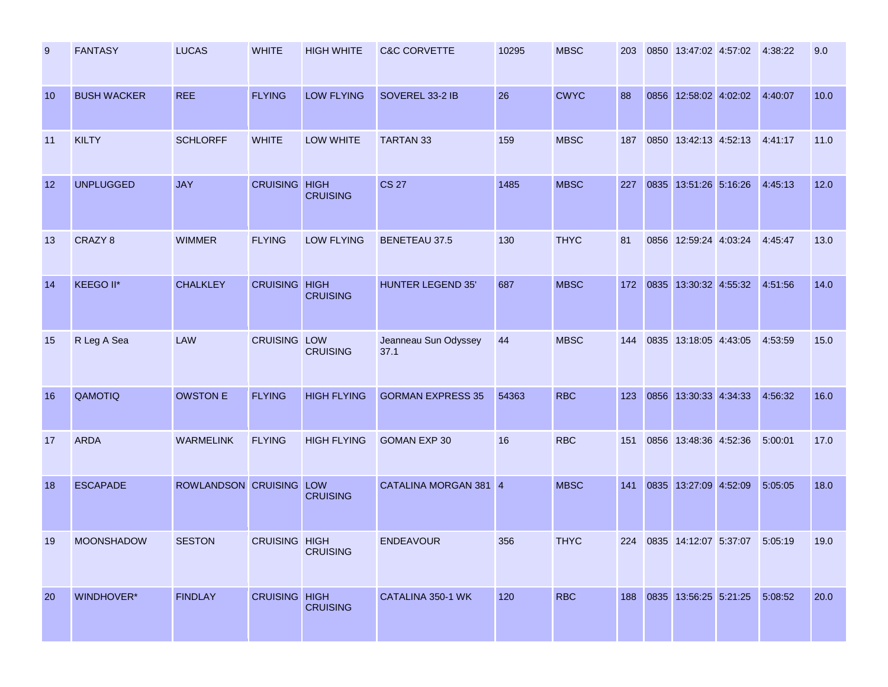| 9  | <b>FANTASY</b>     | <b>LUCAS</b>            | <b>WHITE</b>         | <b>HIGH WHITE</b>  | <b>C&amp;C CORVETTE</b>      | 10295 | <b>MBSC</b> | 203 |      | 0850 13:47:02 4:57:02 | 4:38:22 | 9.0  |
|----|--------------------|-------------------------|----------------------|--------------------|------------------------------|-------|-------------|-----|------|-----------------------|---------|------|
| 10 | <b>BUSH WACKER</b> | <b>REE</b>              | <b>FLYING</b>        | <b>LOW FLYING</b>  | SOVEREL 33-2 IB              | 26    | <b>CWYC</b> | 88  |      | 0856 12:58:02 4:02:02 | 4:40:07 | 10.0 |
| 11 | <b>KILTY</b>       | <b>SCHLORFF</b>         | <b>WHITE</b>         | LOW WHITE          | TARTAN 33                    | 159   | <b>MBSC</b> | 187 |      | 0850 13:42:13 4:52:13 | 4:41:17 | 11.0 |
| 12 | <b>UNPLUGGED</b>   | <b>JAY</b>              | <b>CRUISING HIGH</b> | <b>CRUISING</b>    | <b>CS 27</b>                 | 1485  | <b>MBSC</b> | 227 |      | 0835 13:51:26 5:16:26 | 4:45:13 | 12.0 |
| 13 | CRAZY <sub>8</sub> | <b>WIMMER</b>           | <b>FLYING</b>        | <b>LOW FLYING</b>  | <b>BENETEAU 37.5</b>         | 130   | <b>THYC</b> | 81  |      | 0856 12:59:24 4:03:24 | 4:45:47 | 13.0 |
| 14 | KEEGO II*          | <b>CHALKLEY</b>         | <b>CRUISING HIGH</b> | <b>CRUISING</b>    | <b>HUNTER LEGEND 35'</b>     | 687   | <b>MBSC</b> | 172 |      | 0835 13:30:32 4:55:32 | 4:51:56 | 14.0 |
| 15 | R Leg A Sea        | LAW                     | <b>CRUISING LOW</b>  | <b>CRUISING</b>    | Jeanneau Sun Odyssey<br>37.1 | 44    | <b>MBSC</b> | 144 |      | 0835 13:18:05 4:43:05 | 4:53:59 | 15.0 |
| 16 | QAMOTIQ            | <b>OWSTON E</b>         | <b>FLYING</b>        | <b>HIGH FLYING</b> | <b>GORMAN EXPRESS 35</b>     | 54363 | <b>RBC</b>  | 123 | 0856 | 13:30:33 4:34:33      | 4:56:32 | 16.0 |
| 17 | <b>ARDA</b>        | <b>WARMELINK</b>        | <b>FLYING</b>        | <b>HIGH FLYING</b> | <b>GOMAN EXP 30</b>          | 16    | <b>RBC</b>  | 151 |      | 0856 13:48:36 4:52:36 | 5:00:01 | 17.0 |
| 18 | <b>ESCAPADE</b>    | ROWLANDSON CRUISING LOW |                      | <b>CRUISING</b>    | CATALINA MORGAN 381 4        |       | <b>MBSC</b> | 141 |      | 0835 13:27:09 4:52:09 | 5:05:05 | 18.0 |
| 19 | <b>MOONSHADOW</b>  | <b>SESTON</b>           | <b>CRUISING HIGH</b> | <b>CRUISING</b>    | <b>ENDEAVOUR</b>             | 356   | <b>THYC</b> | 224 |      | 0835 14:12:07 5:37:07 | 5:05:19 | 19.0 |
| 20 | WINDHOVER*         | <b>FINDLAY</b>          | <b>CRUISING HIGH</b> | <b>CRUISING</b>    | CATALINA 350-1 WK            | 120   | <b>RBC</b>  | 188 |      | 0835 13:56:25 5:21:25 | 5:08:52 | 20.0 |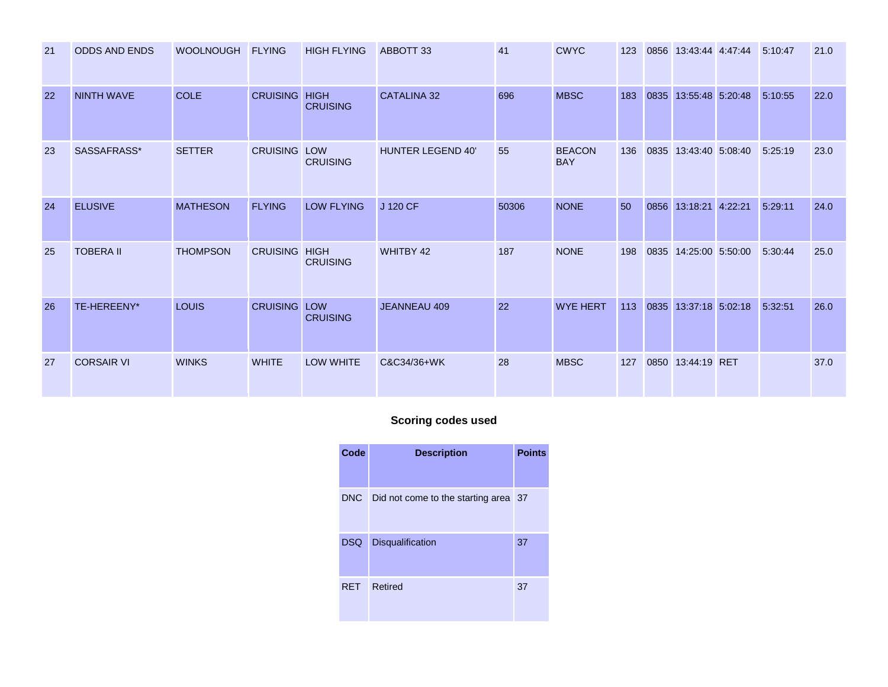| 21 | <b>ODDS AND ENDS</b> | <b>WOOLNOUGH</b> | <b>FLYING</b>        | <b>HIGH FLYING</b>            | ABBOTT 33                | 41    | <b>CWYC</b>                 | 123 |      | 0856 13:43:44 4:47:44 | 5:10:47 | 21.0 |
|----|----------------------|------------------|----------------------|-------------------------------|--------------------------|-------|-----------------------------|-----|------|-----------------------|---------|------|
| 22 | <b>NINTH WAVE</b>    | <b>COLE</b>      | <b>CRUISING HIGH</b> | <b>CRUISING</b>               | <b>CATALINA 32</b>       | 696   | <b>MBSC</b>                 | 183 |      | 0835 13:55:48 5:20:48 | 5:10:55 | 22.0 |
| 23 | SASSAFRASS*          | <b>SETTER</b>    | <b>CRUISING</b>      | <b>LOW</b><br><b>CRUISING</b> | <b>HUNTER LEGEND 40'</b> | 55    | <b>BEACON</b><br><b>BAY</b> | 136 | 0835 | 13:43:40 5:08:40      | 5:25:19 | 23.0 |
| 24 | <b>ELUSIVE</b>       | <b>MATHESON</b>  | <b>FLYING</b>        | <b>LOW FLYING</b>             | J 120 CF                 | 50306 | <b>NONE</b>                 | 50  | 0856 | 13:18:21 4:22:21      | 5:29:11 | 24.0 |
| 25 | <b>TOBERA II</b>     | <b>THOMPSON</b>  | <b>CRUISING HIGH</b> | <b>CRUISING</b>               | WHITBY 42                | 187   | <b>NONE</b>                 | 198 |      | 0835 14:25:00 5:50:00 | 5:30:44 | 25.0 |
| 26 | TE-HEREENY*          | <b>LOUIS</b>     | <b>CRUISING LOW</b>  | <b>CRUISING</b>               | <b>JEANNEAU 409</b>      | 22    | <b>WYE HERT</b>             | 113 |      | 0835 13:37:18 5:02:18 | 5:32:51 | 26.0 |
| 27 | <b>CORSAIR VI</b>    | <b>WINKS</b>     | <b>WHITE</b>         | <b>LOW WHITE</b>              | C&C34/36+WK              | 28    | <b>MBSC</b>                 | 127 |      | 0850 13:44:19 RET     |         | 37.0 |

# **Scoring codes used**

| Code       | <b>Description</b>                       | <b>Points</b> |
|------------|------------------------------------------|---------------|
|            | DNC Did not come to the starting area 37 |               |
| DSQ        | <b>Disqualification</b>                  | 37            |
| <b>RET</b> | Retired                                  | 37            |